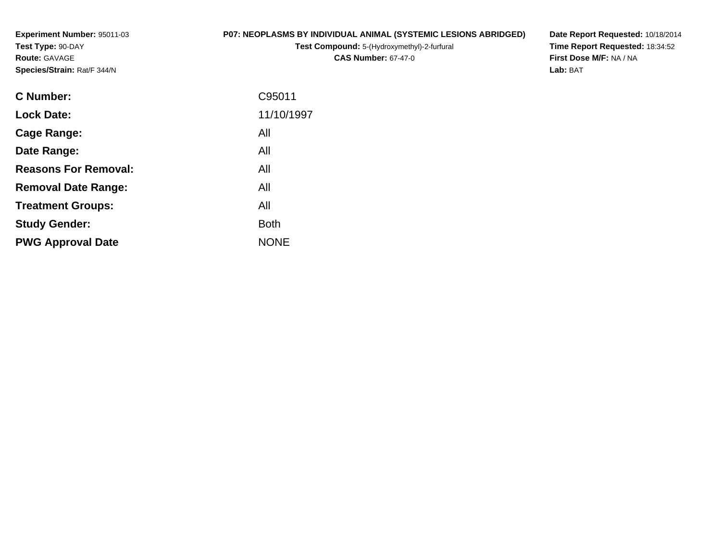**Experiment Number:** 95011-03**Test Type:** 90-DAY**Route:** GAVAGE**Species/Strain:** Rat/F 344/N

#### **P07: NEOPLASMS BY INDIVIDUAL ANIMAL (SYSTEMIC LESIONS ABRIDGED)**

**Test Compound:** 5-(Hydroxymethyl)-2-furfural **CAS Number:** 67-47-0

**Date Report Requested:** 10/18/2014 **Time Report Requested:** 18:34:52**First Dose M/F:** NA / NA**Lab:** BAT

| 11/10/1997<br><b>Lock Date:</b><br>All<br>Cage Range:<br>All<br>Date Range:<br><b>Reasons For Removal:</b><br>All<br>All<br><b>Removal Date Range:</b><br>All<br><b>Treatment Groups:</b><br><b>Both</b><br><b>Study Gender:</b><br><b>NONE</b><br><b>PWG Approval Date</b> | C95011 |
|-----------------------------------------------------------------------------------------------------------------------------------------------------------------------------------------------------------------------------------------------------------------------------|--------|
|                                                                                                                                                                                                                                                                             |        |
|                                                                                                                                                                                                                                                                             |        |
|                                                                                                                                                                                                                                                                             |        |
|                                                                                                                                                                                                                                                                             |        |
|                                                                                                                                                                                                                                                                             |        |
|                                                                                                                                                                                                                                                                             |        |
|                                                                                                                                                                                                                                                                             |        |
|                                                                                                                                                                                                                                                                             |        |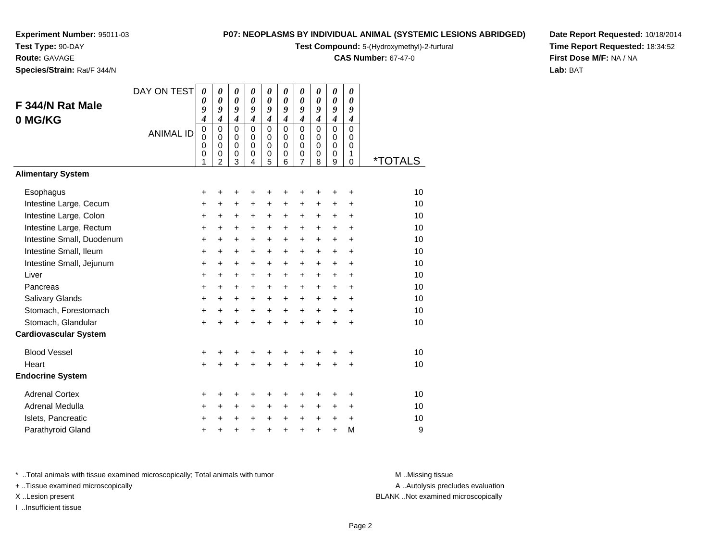**Test Type:** 90-DAY

**Route:** GAVAGE

**Species/Strain:** Rat/F 344/N

#### **P07: NEOPLASMS BY INDIVIDUAL ANIMAL (SYSTEMIC LESIONS ABRIDGED)**

**Test Compound:** 5-(Hydroxymethyl)-2-furfural

**CAS Number:** 67-47-0

**Date Report Requested:** 10/18/2014**Time Report Requested:** 18:34:52**First Dose M/F:** NA / NA**Lab:** BAT

|                              | DAY ON TEST      | $\boldsymbol{\theta}$<br>0 | $\boldsymbol{\theta}$<br>$\boldsymbol{\theta}$ | 0<br>$\boldsymbol{\theta}$ | 0<br>$\boldsymbol{\theta}$ | 0<br>$\boldsymbol{\theta}$ | $\boldsymbol{\theta}$<br>$\boldsymbol{\theta}$ | 0<br>$\boldsymbol{\theta}$ | 0<br>0                     | 0<br>$\boldsymbol{\theta}$ | 0<br>0                     |                       |
|------------------------------|------------------|----------------------------|------------------------------------------------|----------------------------|----------------------------|----------------------------|------------------------------------------------|----------------------------|----------------------------|----------------------------|----------------------------|-----------------------|
| F 344/N Rat Male             |                  | 9                          | 9                                              | 9                          | 9                          | 9                          | 9                                              | 9                          | 9                          | 9                          | 9                          |                       |
| 0 MG/KG                      |                  | 4                          | $\boldsymbol{4}$                               | $\boldsymbol{4}$           | $\boldsymbol{4}$           | $\boldsymbol{4}$           | $\boldsymbol{4}$                               | $\boldsymbol{4}$           | $\boldsymbol{4}$           | $\boldsymbol{4}$           | $\boldsymbol{4}$           |                       |
|                              | <b>ANIMAL ID</b> | $\mathbf 0$<br>$\mathbf 0$ | $\mathbf 0$<br>$\mathbf 0$                     | $\mathbf 0$<br>$\mathbf 0$ | $\mathbf 0$<br>$\mathbf 0$ | $\mathbf 0$<br>$\mathbf 0$ | $\mathbf 0$<br>$\Omega$                        | $\mathbf 0$<br>0           | $\mathbf 0$<br>$\mathbf 0$ | $\mathbf 0$<br>$\mathbf 0$ | $\mathbf 0$<br>$\mathbf 0$ |                       |
|                              |                  | 0                          | $\mathbf 0$                                    | $\mathbf 0$                | $\Omega$                   | $\mathbf 0$                | $\Omega$                                       | $\mathbf 0$                | $\Omega$                   | $\mathbf 0$                | $\Omega$                   |                       |
|                              |                  | 0<br>1                     | 0<br>$\overline{2}$                            | 0<br>3                     | 0<br>$\overline{4}$        | 0<br>5                     | 0<br>6                                         | $\frac{0}{7}$              | 0<br>8                     | 0<br>9                     | 1<br>$\mathbf 0$           | <i><b>*TOTALS</b></i> |
| <b>Alimentary System</b>     |                  |                            |                                                |                            |                            |                            |                                                |                            |                            |                            |                            |                       |
| Esophagus                    |                  | +                          | +                                              | +                          | +                          | +                          | ٠                                              | ٠                          | ٠                          | ÷                          | ÷                          | 10                    |
| Intestine Large, Cecum       |                  | +                          | +                                              | +                          | +                          | +                          | +                                              | $\ddot{}$                  | +                          | +                          | $\ddot{}$                  | 10                    |
| Intestine Large, Colon       |                  | $\pmb{+}$                  | +                                              | +                          | +                          | $\ddot{}$                  | $\ddot{}$                                      | $\ddot{}$                  | $\ddot{}$                  | $\ddot{}$                  | $\ddot{}$                  | 10                    |
| Intestine Large, Rectum      |                  | $\ddot{}$                  | $\ddot{}$                                      | $\ddot{}$                  | $\ddot{}$                  | $\ddot{}$                  | $\ddot{}$                                      | $\ddot{}$                  | $\ddot{}$                  | $\ddot{}$                  | $\ddot{}$                  | 10                    |
| Intestine Small, Duodenum    |                  | $\ddot{}$                  | $\ddot{}$                                      | $\ddot{}$                  | $\ddot{}$                  | $\ddot{}$                  | $\ddot{}$                                      | $\ddot{}$                  | $\ddot{}$                  | $\ddot{}$                  | $\ddot{}$                  | 10                    |
| Intestine Small, Ileum       |                  | $\ddot{}$                  | $\ddot{}$                                      | $\ddot{}$                  | $\ddot{}$                  | +                          | $\ddot{}$                                      | $\ddot{}$                  | $\ddot{}$                  | $\ddot{}$                  | $\ddot{}$                  | 10                    |
| Intestine Small, Jejunum     |                  | $\ddot{}$                  | $\ddot{}$                                      | $\ddot{}$                  | $\ddot{}$                  | $\ddot{}$                  | $\ddot{}$                                      | $+$                        | $+$                        | $+$                        | $\ddot{}$                  | 10                    |
| Liver                        |                  | +                          | $\ddot{}$                                      | $\ddot{}$                  | $\ddot{}$                  | $\ddot{}$                  | $\ddot{}$                                      | $\ddot{}$                  | $\pm$                      | $\ddot{}$                  | $\ddot{}$                  | 10                    |
| Pancreas                     |                  | +                          | +                                              | +                          | +                          | +                          | +                                              | $\ddot{}$                  | $\ddot{}$                  | $\ddot{}$                  | $\ddot{}$                  | 10                    |
| Salivary Glands              |                  | $\pmb{+}$                  | $\ddot{}$                                      | $\ddot{}$                  | $\ddot{}$                  | $\ddot{}$                  | $\ddot{}$                                      | $\ddot{}$                  | $\ddot{}$                  | $\ddot{}$                  | $\ddot{}$                  | 10                    |
| Stomach, Forestomach         |                  | $\ddot{}$                  | +                                              | +                          | +                          | +                          | $\ddot{}$                                      | $+$                        | $+$                        | $\ddot{}$                  | $\ddot{}$                  | 10                    |
| Stomach, Glandular           |                  | $\ddot{}$                  | $\ddot{}$                                      | $\ddot{}$                  | $\ddot{}$                  | $\ddot{}$                  | $\ddot{}$                                      | $\ddot{}$                  | $\ddot{}$                  | $\ddot{}$                  | $\ddot{}$                  | 10                    |
| <b>Cardiovascular System</b> |                  |                            |                                                |                            |                            |                            |                                                |                            |                            |                            |                            |                       |
| <b>Blood Vessel</b>          |                  | +                          |                                                |                            | +                          | +                          | +                                              | +                          | +                          | +                          | +                          | 10                    |
| Heart                        |                  | $\ddot{}$                  | $\ddot{}$                                      | $\ddot{}$                  | $\ddot{}$                  | $\ddot{}$                  | ÷                                              | $\ddot{}$                  | $\ddot{}$                  | $\ddot{}$                  | $\ddot{}$                  | 10                    |
| <b>Endocrine System</b>      |                  |                            |                                                |                            |                            |                            |                                                |                            |                            |                            |                            |                       |
| <b>Adrenal Cortex</b>        |                  | +                          | +                                              | ٠                          | ٠                          | +                          | ٠                                              | ٠                          | ٠                          | +                          | ٠                          | 10                    |
| Adrenal Medulla              |                  | $\ddot{}$                  | $\ddot{}$                                      | $\ddot{}$                  | $\ddot{}$                  | $\ddot{}$                  | $\ddot{}$                                      | $\ddot{}$                  | $+$                        | $\ddot{}$                  | $\ddot{}$                  | 10                    |
| Islets, Pancreatic           |                  | +                          | +                                              | +                          | +                          | $\ddot{}$                  | $\ddot{}$                                      | $\ddot{}$                  | $\ddot{}$                  | $\ddot{}$                  | $\ddot{}$                  | 10                    |
| Parathyroid Gland            |                  | +                          |                                                |                            |                            | $\ddot{}$                  | ÷                                              | +                          | +                          | $\ddot{}$                  | M                          | 9                     |

\* ..Total animals with tissue examined microscopically; Total animals with tumor **M** . Missing tissue M ..Missing tissue

+ ..Tissue examined microscopically

I ..Insufficient tissue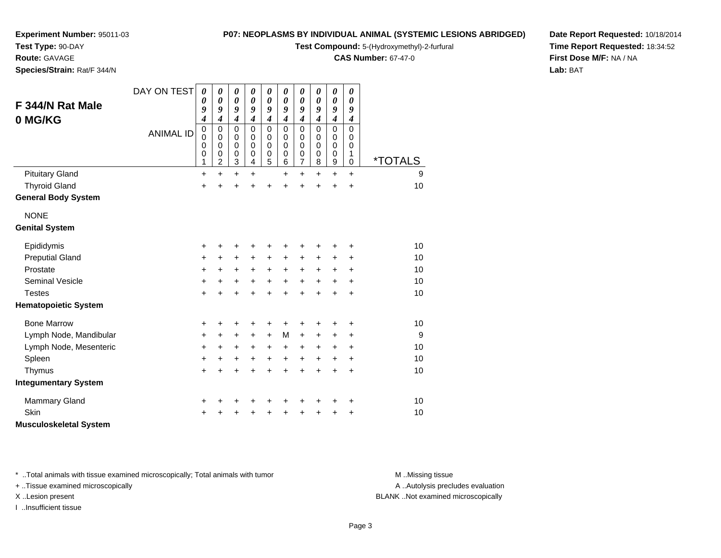**Test Type:** 90-DAY

## **Route:** GAVAGE

**Species/Strain:** Rat/F 344/N

#### **P07: NEOPLASMS BY INDIVIDUAL ANIMAL (SYSTEMIC LESIONS ABRIDGED)**

**Test Compound:** 5-(Hydroxymethyl)-2-furfural

**CAS Number:** 67-47-0

**Date Report Requested:** 10/18/2014**Time Report Requested:** 18:34:52**First Dose M/F:** NA / NA**Lab:** BAT

| F 344/N Rat Male<br>0 MG/KG   | DAY ON TEST      | 0<br>0<br>9<br>4                     | 0<br>$\boldsymbol{\theta}$<br>9<br>$\overline{\boldsymbol{4}}$ | 0<br>0<br>9<br>$\overline{\boldsymbol{4}}$ | 0<br>0<br>9<br>$\overline{\boldsymbol{4}}$ | 0<br>$\boldsymbol{\theta}$<br>9<br>$\overline{\boldsymbol{4}}$ | $\boldsymbol{\theta}$<br>$\boldsymbol{\theta}$<br>9<br>$\overline{\boldsymbol{4}}$ | 0<br>$\boldsymbol{\theta}$<br>9<br>$\boldsymbol{4}$                      | 0<br>0<br>9<br>$\boldsymbol{4}$                     | $\boldsymbol{\theta}$<br>$\boldsymbol{\theta}$<br>9<br>$\boldsymbol{4}$ | 0<br>0<br>9<br>$\overline{\boldsymbol{4}}$ |                       |
|-------------------------------|------------------|--------------------------------------|----------------------------------------------------------------|--------------------------------------------|--------------------------------------------|----------------------------------------------------------------|------------------------------------------------------------------------------------|--------------------------------------------------------------------------|-----------------------------------------------------|-------------------------------------------------------------------------|--------------------------------------------|-----------------------|
|                               | <b>ANIMAL ID</b> | $\boldsymbol{0}$<br>0<br>0<br>0<br>1 | $\mathbf 0$<br>$\pmb{0}$<br>$\mathbf 0$<br>0<br>$\overline{c}$ | $\mathbf 0$<br>0<br>0<br>0<br>3            | 0<br>0<br>0<br>0<br>4                      | $\mathbf 0$<br>$\mathbf 0$<br>$\mathbf 0$<br>0<br>5            | $\mathbf 0$<br>$\mathbf 0$<br>$\mathbf 0$<br>$\mathbf 0$<br>6                      | $\mathbf 0$<br>$\mathbf 0$<br>$\mathbf 0$<br>$\pmb{0}$<br>$\overline{7}$ | $\mathbf 0$<br>0<br>$\mathbf 0$<br>$\mathbf 0$<br>8 | $\mathbf 0$<br>$\mathbf 0$<br>$\mathbf 0$<br>$\mathbf 0$<br>9           | $\mathbf 0$<br>0<br>0<br>1<br>$\Omega$     | <i><b>*TOTALS</b></i> |
| <b>Pituitary Gland</b>        |                  | $\ddot{}$                            | $\ddot{}$                                                      | +                                          | +                                          |                                                                | $\ddot{}$                                                                          | $\ddot{}$                                                                | $\ddot{}$                                           | $\ddot{}$                                                               | $\ddot{}$                                  | 9                     |
| <b>Thyroid Gland</b>          |                  | $\ddot{}$                            | $\ddot{}$                                                      | $\ddot{}$                                  | Ŧ.                                         | $\ddot{}$                                                      | $\ddot{}$                                                                          | $\ddot{}$                                                                | $\ddot{}$                                           | $\ddot{}$                                                               | $\ddot{}$                                  | 10                    |
| <b>General Body System</b>    |                  |                                      |                                                                |                                            |                                            |                                                                |                                                                                    |                                                                          |                                                     |                                                                         |                                            |                       |
| <b>NONE</b>                   |                  |                                      |                                                                |                                            |                                            |                                                                |                                                                                    |                                                                          |                                                     |                                                                         |                                            |                       |
| <b>Genital System</b>         |                  |                                      |                                                                |                                            |                                            |                                                                |                                                                                    |                                                                          |                                                     |                                                                         |                                            |                       |
| Epididymis                    |                  | +                                    | +                                                              | +                                          | +                                          | +                                                              | +                                                                                  | +                                                                        | +                                                   | +                                                                       | +                                          | 10                    |
| <b>Preputial Gland</b>        |                  | +                                    | $+$                                                            | +                                          | $\ddot{}$                                  | +                                                              | +                                                                                  | $\ddot{}$                                                                | ٠                                                   | +                                                                       | +                                          | 10                    |
| Prostate                      |                  | +                                    | $\ddot{}$                                                      | $\ddot{}$                                  | $\ddot{}$                                  | $\ddot{}$                                                      | $\ddot{}$                                                                          | $\ddot{}$                                                                | $\ddot{}$                                           | $\ddot{}$                                                               | +                                          | 10                    |
| Seminal Vesicle               |                  | +                                    | $+$                                                            | $\ddot{}$                                  | $\ddot{}$                                  | $\ddot{}$                                                      | $+$                                                                                | $\ddot{}$                                                                | $\ddot{}$                                           | $\ddot{}$                                                               | $\ddot{}$                                  | 10                    |
| <b>Testes</b>                 |                  | $\ddot{}$                            | $\ddot{}$                                                      | $\ddot{}$                                  | $\ddot{}$                                  | $\ddot{}$                                                      | $\ddot{}$                                                                          | $\ddot{}$                                                                | $\ddot{}$                                           | $\ddot{}$                                                               | $\ddot{}$                                  | 10                    |
| <b>Hematopoietic System</b>   |                  |                                      |                                                                |                                            |                                            |                                                                |                                                                                    |                                                                          |                                                     |                                                                         |                                            |                       |
| <b>Bone Marrow</b>            |                  | +                                    | +                                                              | +                                          | +                                          | +                                                              | +                                                                                  | +                                                                        |                                                     | +                                                                       | +                                          | 10                    |
| Lymph Node, Mandibular        |                  | +                                    | $\ddot{}$                                                      | $\ddot{}$                                  | $\ddot{}$                                  | $\ddot{}$                                                      | M                                                                                  | $\ddot{}$                                                                | +                                                   | $\ddot{}$                                                               | +                                          | 9                     |
| Lymph Node, Mesenteric        |                  | +                                    | +                                                              | $\ddot{}$                                  | +                                          | $\ddot{}$                                                      | $\ddot{}$                                                                          | $\ddot{}$                                                                | +                                                   | +                                                                       | +                                          | 10                    |
| Spleen                        |                  | +                                    | $\ddot{}$                                                      | +                                          | $\ddot{}$                                  | $\ddot{}$                                                      | $\ddot{}$                                                                          | $\ddot{}$                                                                | $\ddot{}$                                           | $\ddot{}$                                                               | $\ddot{}$                                  | 10                    |
| Thymus                        |                  | $\ddot{}$                            | $\ddot{}$                                                      | +                                          | +                                          | $\ddot{}$                                                      | $\ddot{}$                                                                          | $\ddot{}$                                                                | $\ddot{}$                                           | $\ddot{}$                                                               | $\ddot{}$                                  | 10                    |
| <b>Integumentary System</b>   |                  |                                      |                                                                |                                            |                                            |                                                                |                                                                                    |                                                                          |                                                     |                                                                         |                                            |                       |
| <b>Mammary Gland</b>          |                  | +                                    | +                                                              | +                                          | +                                          | +                                                              | +                                                                                  | +                                                                        | +                                                   | +                                                                       | +                                          | 10                    |
| Skin                          |                  | +                                    |                                                                | +                                          |                                            | +                                                              | +                                                                                  | +                                                                        |                                                     | +                                                                       | +                                          | 10                    |
| <b>Musculoskeletal System</b> |                  |                                      |                                                                |                                            |                                            |                                                                |                                                                                    |                                                                          |                                                     |                                                                         |                                            |                       |

\* ..Total animals with tissue examined microscopically; Total animals with tumor **M** . Missing tissue M ..Missing tissue

+ ..Tissue examined microscopically

I ..Insufficient tissue

A ..Autolysis precludes evaluation

X ..Lesion present BLANK ..Not examined microscopically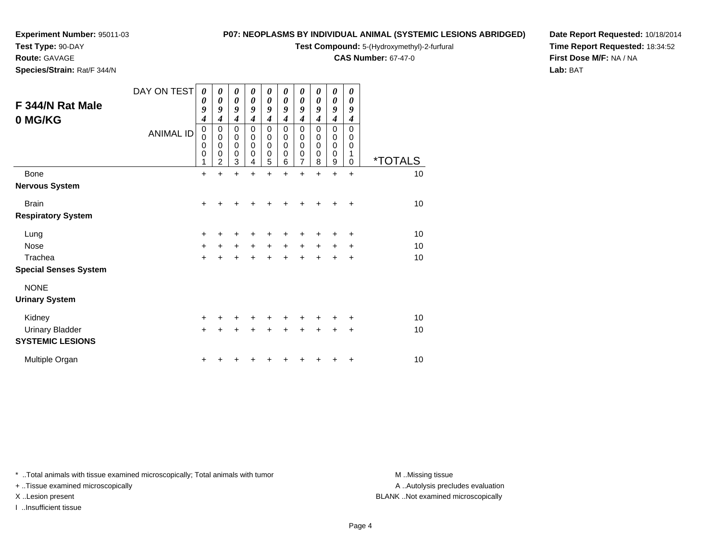**Test Type:** 90-DAY

**Route:** GAVAGE

**Species/Strain:** Rat/F 344/N

#### **P07: NEOPLASMS BY INDIVIDUAL ANIMAL (SYSTEMIC LESIONS ABRIDGED)**

**Test Compound:** 5-(Hydroxymethyl)-2-furfural

**CAS Number:** 67-47-0

**Date Report Requested:** 10/18/2014**Time Report Requested:** 18:34:52**First Dose M/F:** NA / NA**Lab:** BAT

| F 344/N Rat Male<br>0 MG/KG  | DAY ON TEST<br><b>ANIMAL ID</b> | 0<br>0<br>9<br>4<br>$\pmb{0}$<br>$\mathbf 0$<br>$\mathbf 0$<br>$\mathbf 0$<br>1 | $\boldsymbol{\theta}$<br>0<br>9<br>4<br>$\pmb{0}$<br>$\mathbf 0$<br>$\mathbf 0$<br>$\mathbf 0$<br>$\overline{2}$ | 0<br>$\boldsymbol{\theta}$<br>9<br>$\boldsymbol{4}$<br>$\pmb{0}$<br>$\pmb{0}$<br>$\mathbf 0$<br>$\mathbf 0$<br>3 | 0<br>0<br>9<br>4<br>$\mathbf 0$<br>$\mathbf 0$<br>$\mathbf 0$<br>$\mathbf 0$<br>4 | 0<br>$\boldsymbol{\theta}$<br>9<br>$\boldsymbol{4}$<br>$\mathbf 0$<br>$\mathbf 0$<br>$\mathbf 0$<br>$\mathbf 0$<br>5 | 0<br>0<br>9<br>$\boldsymbol{4}$<br>0<br>$\mathbf 0$<br>$\mathbf 0$<br>$\mathbf 0$<br>6 | 0<br>0<br>9<br>$\boldsymbol{4}$<br>0<br>$\pmb{0}$<br>0<br>0<br>$\overline{7}$ | 0<br>0<br>9<br>$\boldsymbol{4}$<br>$\mathbf 0$<br>$\mathbf 0$<br>0<br>$\mathbf 0$<br>8 | 0<br>0<br>9<br>$\boldsymbol{4}$<br>$\mathbf 0$<br>$\pmb{0}$<br>$\mathbf 0$<br>$\mathbf 0$<br>$\boldsymbol{9}$ | $\boldsymbol{\theta}$<br>0<br>9<br>$\boldsymbol{4}$<br>$\Omega$<br>$\mathbf 0$<br>$\mathbf 0$<br>1<br>$\mathbf 0$ | <i><b>*TOTALS</b></i> |
|------------------------------|---------------------------------|---------------------------------------------------------------------------------|------------------------------------------------------------------------------------------------------------------|------------------------------------------------------------------------------------------------------------------|-----------------------------------------------------------------------------------|----------------------------------------------------------------------------------------------------------------------|----------------------------------------------------------------------------------------|-------------------------------------------------------------------------------|----------------------------------------------------------------------------------------|---------------------------------------------------------------------------------------------------------------|-------------------------------------------------------------------------------------------------------------------|-----------------------|
| <b>Bone</b>                  |                                 | $\ddot{}$                                                                       | $\ddot{}$                                                                                                        | $\ddot{}$                                                                                                        | $\ddot{}$                                                                         | $\ddot{}$                                                                                                            | ÷                                                                                      | $\ddot{}$                                                                     | $\ddot{}$                                                                              | $\ddot{}$                                                                                                     | $\ddot{}$                                                                                                         | 10                    |
| <b>Nervous System</b>        |                                 |                                                                                 |                                                                                                                  |                                                                                                                  |                                                                                   |                                                                                                                      |                                                                                        |                                                                               |                                                                                        |                                                                                                               |                                                                                                                   |                       |
| <b>Brain</b>                 |                                 | $\ddot{}$                                                                       |                                                                                                                  |                                                                                                                  |                                                                                   |                                                                                                                      |                                                                                        |                                                                               |                                                                                        |                                                                                                               |                                                                                                                   | 10                    |
| <b>Respiratory System</b>    |                                 |                                                                                 |                                                                                                                  |                                                                                                                  |                                                                                   |                                                                                                                      |                                                                                        |                                                                               |                                                                                        |                                                                                                               |                                                                                                                   |                       |
| Lung                         |                                 | $\ddot{}$                                                                       |                                                                                                                  |                                                                                                                  |                                                                                   |                                                                                                                      |                                                                                        |                                                                               |                                                                                        |                                                                                                               | ٠                                                                                                                 | 10                    |
| <b>Nose</b>                  |                                 | $\ddot{}$                                                                       | $\ddot{}$                                                                                                        | $\ddot{}$                                                                                                        | $\ddot{}$                                                                         | $\ddot{}$                                                                                                            | $\ddot{}$                                                                              | $\ddot{}$                                                                     | $\ddot{}$                                                                              | $\ddot{}$                                                                                                     | ÷                                                                                                                 | 10                    |
| Trachea                      |                                 | $\ddot{}$                                                                       |                                                                                                                  |                                                                                                                  |                                                                                   | +                                                                                                                    |                                                                                        | +                                                                             |                                                                                        | +                                                                                                             | +                                                                                                                 | 10                    |
| <b>Special Senses System</b> |                                 |                                                                                 |                                                                                                                  |                                                                                                                  |                                                                                   |                                                                                                                      |                                                                                        |                                                                               |                                                                                        |                                                                                                               |                                                                                                                   |                       |
| <b>NONE</b>                  |                                 |                                                                                 |                                                                                                                  |                                                                                                                  |                                                                                   |                                                                                                                      |                                                                                        |                                                                               |                                                                                        |                                                                                                               |                                                                                                                   |                       |
| <b>Urinary System</b>        |                                 |                                                                                 |                                                                                                                  |                                                                                                                  |                                                                                   |                                                                                                                      |                                                                                        |                                                                               |                                                                                        |                                                                                                               |                                                                                                                   |                       |
| Kidney                       |                                 | $\ddot{}$                                                                       |                                                                                                                  |                                                                                                                  |                                                                                   |                                                                                                                      |                                                                                        |                                                                               |                                                                                        |                                                                                                               | ٠                                                                                                                 | 10                    |
| <b>Urinary Bladder</b>       |                                 | $\ddot{}$                                                                       |                                                                                                                  | ÷                                                                                                                |                                                                                   | $\ddot{}$                                                                                                            |                                                                                        |                                                                               |                                                                                        | $\ddot{}$                                                                                                     | $\ddot{}$                                                                                                         | 10                    |
| <b>SYSTEMIC LESIONS</b>      |                                 |                                                                                 |                                                                                                                  |                                                                                                                  |                                                                                   |                                                                                                                      |                                                                                        |                                                                               |                                                                                        |                                                                                                               |                                                                                                                   |                       |
| Multiple Organ               |                                 | ٠                                                                               |                                                                                                                  |                                                                                                                  |                                                                                   |                                                                                                                      |                                                                                        |                                                                               |                                                                                        |                                                                                                               | ٠                                                                                                                 | 10                    |

\* ..Total animals with tissue examined microscopically; Total animals with tumor **M** . Missing tissue M ..Missing tissue

+ ..Tissue examined microscopically

I ..Insufficient tissue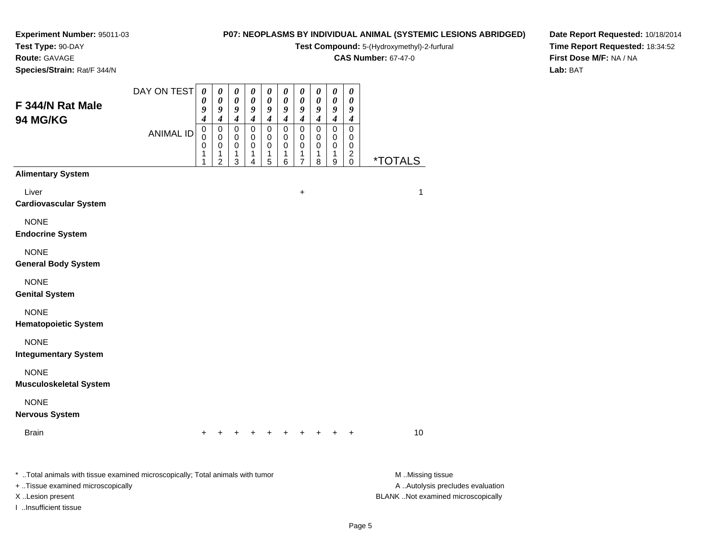#### **Test Type:** 90-DAY**Route:** GAVAGE

**Species/Strain:** Rat/F 344/N

#### **P07: NEOPLASMS BY INDIVIDUAL ANIMAL (SYSTEMIC LESIONS ABRIDGED)**

**Test Compound:** 5-(Hydroxymethyl)-2-furfural

**CAS Number:** 67-47-0

**Date Report Requested:** 10/18/2014**Time Report Requested:** 18:34:52**First Dose M/F:** NA / NA**Lab:** BAT

| F 344/N Rat Male<br>94 MG/KG                                                    | DAY ON TEST      | $\boldsymbol{\theta}$<br>0<br>9<br>4 | $\pmb{\theta}$<br>$\pmb{\theta}$<br>9<br>$\boldsymbol{4}$      | $\pmb{\theta}$<br>$\pmb{\theta}$<br>9<br>$\boldsymbol{4}$ | $\pmb{\theta}$<br>$\pmb{\theta}$<br>9<br>$\boldsymbol{4}$ | 0<br>0<br>9<br>$\boldsymbol{4}$         | $\pmb{\theta}$<br>$\boldsymbol{\theta}$<br>9<br>$\boldsymbol{4}$ | $\pmb{\theta}$<br>$\boldsymbol{\theta}$<br>9<br>$\boldsymbol{4}$ | $\pmb{\theta}$<br>$\pmb{\theta}$<br>9<br>$\boldsymbol{4}$ | $\pmb{\theta}$<br>$\boldsymbol{\theta}$<br>9<br>$\boldsymbol{4}$ | $\boldsymbol{\theta}$<br>$\boldsymbol{\theta}$<br>9<br>$\boldsymbol{4}$ |                       |
|---------------------------------------------------------------------------------|------------------|--------------------------------------|----------------------------------------------------------------|-----------------------------------------------------------|-----------------------------------------------------------|-----------------------------------------|------------------------------------------------------------------|------------------------------------------------------------------|-----------------------------------------------------------|------------------------------------------------------------------|-------------------------------------------------------------------------|-----------------------|
|                                                                                 | <b>ANIMAL ID</b> | $\mathbf 0$<br>0<br>0<br>1<br>1      | $\pmb{0}$<br>$\mathbf 0$<br>$\mathbf 0$<br>1<br>$\overline{c}$ | $\pmb{0}$<br>0<br>0<br>1<br>3                             | $\mathbf 0$<br>0<br>$\pmb{0}$<br>1<br>4                   | $\mathbf 0$<br>0<br>$\pmb{0}$<br>1<br>5 | $\pmb{0}$<br>0<br>$\mathbf 0$<br>1<br>6                          | $\pmb{0}$<br>0<br>$\pmb{0}$<br>1<br>7                            | $\mbox{O}$<br>0<br>$\,0\,$<br>1<br>8                      | $\mathbf 0$<br>0<br>$\mathbf 0$<br>1<br>9                        | $\mathbf 0$<br>0<br>$\pmb{0}$<br>$\boldsymbol{2}$<br>$\pmb{0}$          | <i><b>*TOTALS</b></i> |
| <b>Alimentary System</b>                                                        |                  |                                      |                                                                |                                                           |                                                           |                                         |                                                                  |                                                                  |                                                           |                                                                  |                                                                         |                       |
| Liver<br><b>Cardiovascular System</b>                                           |                  |                                      |                                                                |                                                           |                                                           |                                         |                                                                  | $\ddot{}$                                                        |                                                           |                                                                  |                                                                         | 1                     |
| <b>NONE</b><br><b>Endocrine System</b>                                          |                  |                                      |                                                                |                                                           |                                                           |                                         |                                                                  |                                                                  |                                                           |                                                                  |                                                                         |                       |
| <b>NONE</b><br><b>General Body System</b>                                       |                  |                                      |                                                                |                                                           |                                                           |                                         |                                                                  |                                                                  |                                                           |                                                                  |                                                                         |                       |
| <b>NONE</b><br><b>Genital System</b>                                            |                  |                                      |                                                                |                                                           |                                                           |                                         |                                                                  |                                                                  |                                                           |                                                                  |                                                                         |                       |
| <b>NONE</b><br><b>Hematopoietic System</b>                                      |                  |                                      |                                                                |                                                           |                                                           |                                         |                                                                  |                                                                  |                                                           |                                                                  |                                                                         |                       |
| <b>NONE</b><br><b>Integumentary System</b>                                      |                  |                                      |                                                                |                                                           |                                                           |                                         |                                                                  |                                                                  |                                                           |                                                                  |                                                                         |                       |
| <b>NONE</b><br><b>Musculoskeletal System</b>                                    |                  |                                      |                                                                |                                                           |                                                           |                                         |                                                                  |                                                                  |                                                           |                                                                  |                                                                         |                       |
| <b>NONE</b><br><b>Nervous System</b>                                            |                  |                                      |                                                                |                                                           |                                                           |                                         |                                                                  |                                                                  |                                                           |                                                                  |                                                                         |                       |
| <b>Brain</b>                                                                    |                  | $\ddot{}$                            |                                                                |                                                           |                                                           |                                         | $+$                                                              |                                                                  | $\pm$                                                     | $\ddot{}$                                                        | $\ddot{}$                                                               | 10                    |
| *  Total animals with tissue examined microscopically; Total animals with tumor |                  |                                      |                                                                |                                                           |                                                           |                                         |                                                                  |                                                                  |                                                           |                                                                  |                                                                         | M Missing tissue      |

+ ..Tissue examined microscopically

I ..Insufficient tissue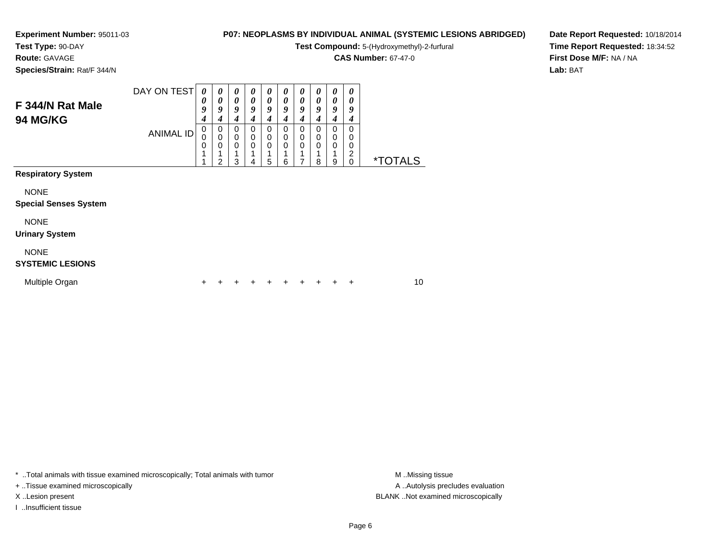**Test Type:** 90-DAY

**Route:** GAVAGE

**Species/Strain:** Rat/F 344/N

### **P07: NEOPLASMS BY INDIVIDUAL ANIMAL (SYSTEMIC LESIONS ABRIDGED)**

**Test Compound:** 5-(Hydroxymethyl)-2-furfural

**CAS Number:** 67-47-0

**Date Report Requested:** 10/18/2014**Time Report Requested:** 18:34:52**First Dose M/F:** NA / NA**Lab:** BAT

| F 344/N Rat Male<br>94 MG/KG                | DAY ON TEST      | 0<br>0<br>9<br>4   | 0<br>0<br>9<br>4                        | 0<br>0<br>9<br>4        | 0<br>$\boldsymbol{\theta}$<br>9<br>4 | 0<br>0<br>9<br>4 | 0<br>0<br>9<br>4 | 0<br>$\boldsymbol{\theta}$<br>9<br>4 | 0<br>0<br>9<br>4 | $\boldsymbol{\theta}$<br>0<br>9<br>4        | 0<br>0<br>9<br>4      |                       |    |  |
|---------------------------------------------|------------------|--------------------|-----------------------------------------|-------------------------|--------------------------------------|------------------|------------------|--------------------------------------|------------------|---------------------------------------------|-----------------------|-----------------------|----|--|
| <b>Respiratory System</b>                   | <b>ANIMAL ID</b> | 0<br>$\Omega$<br>0 | 0<br>$\mathbf 0$<br>0<br>$\overline{2}$ | $\Omega$<br>0<br>0<br>3 | 0<br>0<br>0<br>4                     | 0<br>0<br>0<br>5 | 0<br>0<br>0<br>6 | 0<br>0<br>$\Omega$                   | 0<br>0<br>0<br>8 | $\Omega$<br>$\mathbf 0$<br>$\mathbf 0$<br>9 | 0<br>0<br>0<br>2<br>0 | <i><b>*TOTALS</b></i> |    |  |
|                                             |                  |                    |                                         |                         |                                      |                  |                  |                                      |                  |                                             |                       |                       |    |  |
| <b>NONE</b><br><b>Special Senses System</b> |                  |                    |                                         |                         |                                      |                  |                  |                                      |                  |                                             |                       |                       |    |  |
| <b>NONE</b><br><b>Urinary System</b>        |                  |                    |                                         |                         |                                      |                  |                  |                                      |                  |                                             |                       |                       |    |  |
| <b>NONE</b><br><b>SYSTEMIC LESIONS</b>      |                  |                    |                                         |                         |                                      |                  |                  |                                      |                  |                                             |                       |                       |    |  |
| Multiple Organ                              |                  | +                  |                                         |                         |                                      |                  |                  |                                      |                  | ÷                                           | +                     |                       | 10 |  |

\* ..Total animals with tissue examined microscopically; Total animals with tumor **M** . Missing tissue M ..Missing tissue

+ ..Tissue examined microscopically

I ..Insufficient tissue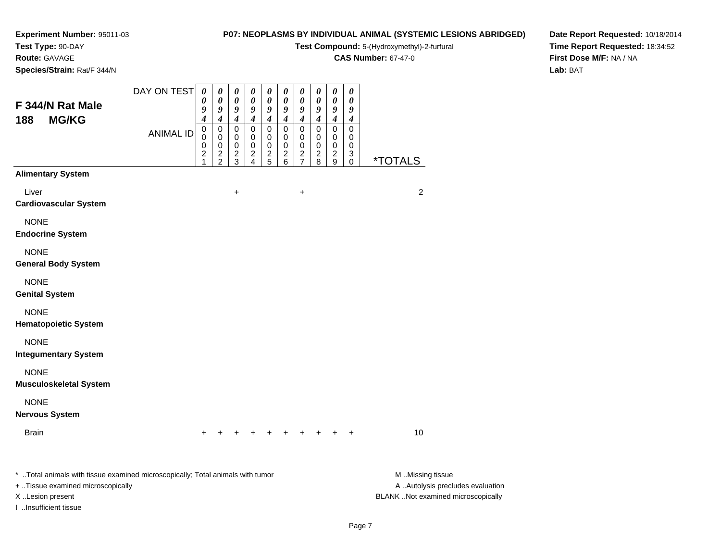# **Test Type:** 90-DAY

**Route:** GAVAGE

**Species/Strain:** Rat/F 344/N

### **P07: NEOPLASMS BY INDIVIDUAL ANIMAL (SYSTEMIC LESIONS ABRIDGED)**

**Test Compound:** 5-(Hydroxymethyl)-2-furfural

**CAS Number:** 67-47-0

**Date Report Requested:** 10/18/2014**Time Report Requested:** 18:34:52**First Dose M/F:** NA / NA**Lab:** BAT

| F 344/N Rat Male                                                                                                                                                  | DAY ON TEST      | $\pmb{\theta}$<br>0<br>9                                                 | 0<br>$\boldsymbol{\theta}$<br>9                                              | $\pmb{\theta}$<br>$\pmb{\theta}$<br>9                                           | 0<br>$\pmb{\theta}$<br>9                                           | 0<br>$\boldsymbol{\theta}$<br>9                                    | $\pmb{\theta}$<br>0<br>9                                           | 0<br>0<br>9                                                                          | $\pmb{\theta}$<br>$\pmb{\theta}$<br>9                                             | 0<br>$\pmb{\theta}$<br>9                                                                    | 0<br>0<br>9                         |                                                                                             |
|-------------------------------------------------------------------------------------------------------------------------------------------------------------------|------------------|--------------------------------------------------------------------------|------------------------------------------------------------------------------|---------------------------------------------------------------------------------|--------------------------------------------------------------------|--------------------------------------------------------------------|--------------------------------------------------------------------|--------------------------------------------------------------------------------------|-----------------------------------------------------------------------------------|---------------------------------------------------------------------------------------------|-------------------------------------|---------------------------------------------------------------------------------------------|
| 188<br><b>MG/KG</b>                                                                                                                                               | <b>ANIMAL ID</b> | $\boldsymbol{4}$<br>$\pmb{0}$<br>0<br>$\mathbf 0$<br>$\overline{c}$<br>1 | 4<br>$\pmb{0}$<br>$\mathbf 0$<br>$\mathbf 0$<br>$\sqrt{2}$<br>$\overline{2}$ | $\boldsymbol{4}$<br>$\boldsymbol{0}$<br>0<br>$\mathbf 0$<br>$\overline{c}$<br>3 | $\boldsymbol{4}$<br>$\mathbf 0$<br>0<br>$\pmb{0}$<br>$\frac{2}{4}$ | 4<br>$\mathbf 0$<br>0<br>$\pmb{0}$<br>$\overline{\mathbf{c}}$<br>5 | $\boldsymbol{4}$<br>$\mathbf 0$<br>0<br>$\pmb{0}$<br>$\frac{2}{6}$ | $\boldsymbol{4}$<br>$\pmb{0}$<br>0<br>0<br>$\overline{\mathbf{c}}$<br>$\overline{7}$ | $\boldsymbol{4}$<br>$\mathsf 0$<br>0<br>$\pmb{0}$<br>$\overline{\mathbf{c}}$<br>8 | $\boldsymbol{4}$<br>$\pmb{0}$<br>0<br>$\mathbf 0$<br>$\overline{\mathbf{c}}$<br>$\mathsf g$ | 4<br>0<br>0<br>0<br>$\sqrt{3}$<br>0 | <i><b>*TOTALS</b></i>                                                                       |
| <b>Alimentary System</b>                                                                                                                                          |                  |                                                                          |                                                                              |                                                                                 |                                                                    |                                                                    |                                                                    |                                                                                      |                                                                                   |                                                                                             |                                     |                                                                                             |
| Liver<br><b>Cardiovascular System</b>                                                                                                                             |                  |                                                                          |                                                                              | +                                                                               |                                                                    |                                                                    |                                                                    | $\ddot{}$                                                                            |                                                                                   |                                                                                             |                                     | $\overline{2}$                                                                              |
| <b>NONE</b><br><b>Endocrine System</b>                                                                                                                            |                  |                                                                          |                                                                              |                                                                                 |                                                                    |                                                                    |                                                                    |                                                                                      |                                                                                   |                                                                                             |                                     |                                                                                             |
| <b>NONE</b><br><b>General Body System</b>                                                                                                                         |                  |                                                                          |                                                                              |                                                                                 |                                                                    |                                                                    |                                                                    |                                                                                      |                                                                                   |                                                                                             |                                     |                                                                                             |
| <b>NONE</b><br><b>Genital System</b>                                                                                                                              |                  |                                                                          |                                                                              |                                                                                 |                                                                    |                                                                    |                                                                    |                                                                                      |                                                                                   |                                                                                             |                                     |                                                                                             |
| <b>NONE</b><br><b>Hematopoietic System</b>                                                                                                                        |                  |                                                                          |                                                                              |                                                                                 |                                                                    |                                                                    |                                                                    |                                                                                      |                                                                                   |                                                                                             |                                     |                                                                                             |
| <b>NONE</b><br><b>Integumentary System</b>                                                                                                                        |                  |                                                                          |                                                                              |                                                                                 |                                                                    |                                                                    |                                                                    |                                                                                      |                                                                                   |                                                                                             |                                     |                                                                                             |
| <b>NONE</b><br><b>Musculoskeletal System</b>                                                                                                                      |                  |                                                                          |                                                                              |                                                                                 |                                                                    |                                                                    |                                                                    |                                                                                      |                                                                                   |                                                                                             |                                     |                                                                                             |
| <b>NONE</b><br><b>Nervous System</b>                                                                                                                              |                  |                                                                          |                                                                              |                                                                                 |                                                                    |                                                                    |                                                                    |                                                                                      |                                                                                   |                                                                                             |                                     |                                                                                             |
| <b>Brain</b>                                                                                                                                                      |                  |                                                                          |                                                                              |                                                                                 |                                                                    |                                                                    | $+$                                                                | $+$                                                                                  | $+$                                                                               | $+$                                                                                         | $+$                                 | 10                                                                                          |
| *  Total animals with tissue examined microscopically; Total animals with tumor<br>+ Tissue examined microscopically<br>X Lesion present<br>I Insufficient tissue |                  |                                                                          |                                                                              |                                                                                 |                                                                    |                                                                    |                                                                    |                                                                                      |                                                                                   |                                                                                             |                                     | M Missing tissue<br>A  Autolysis precludes evaluation<br>BLANK Not examined microscopically |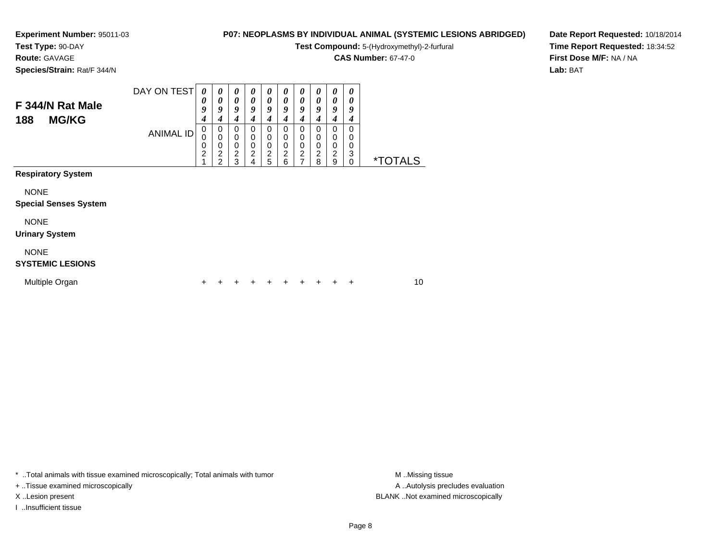**Test Type:** 90-DAY

**Route:** GAVAGE

**Species/Strain:** Rat/F 344/N

### **P07: NEOPLASMS BY INDIVIDUAL ANIMAL (SYSTEMIC LESIONS ABRIDGED)**

 $\overline{\phantom{a}}$  $\overline{\phantom{0}}$ 

**Test Compound:** 5-(Hydroxymethyl)-2-furfural

**CAS Number:** 67-47-0

**Date Report Requested:** 10/18/2014**Time Report Requested:** 18:34:52**First Dose M/F:** NA / NA**Lab:** BAT

| F 344/N Rat Male<br><b>MG/KG</b><br>188     | DAY ON TEST      | $\theta$<br>0<br>9<br>4<br>0 | $\boldsymbol{\theta}$<br>0<br>9<br>4<br>0                      | 0<br>0<br>9<br>4<br>0 | $\boldsymbol{\theta}$<br>$\boldsymbol{\theta}$<br>9<br>4 | 0<br>0<br>9<br>4<br>0                                     | $\boldsymbol{\theta}$<br>$\boldsymbol{\theta}$<br>9<br>4<br>0 | 0<br>0<br>9<br>4<br>0             | 0<br>$\boldsymbol{\theta}$<br>9<br>4<br>0           | 0<br>0<br>9<br>4<br>0   | $\boldsymbol{\theta}$<br>$\boldsymbol{\theta}$<br>9<br>4<br>0 |                       |    |
|---------------------------------------------|------------------|------------------------------|----------------------------------------------------------------|-----------------------|----------------------------------------------------------|-----------------------------------------------------------|---------------------------------------------------------------|-----------------------------------|-----------------------------------------------------|-------------------------|---------------------------------------------------------------|-----------------------|----|
|                                             | <b>ANIMAL ID</b> | 0<br>0<br>$\overline{c}$     | $\mathbf 0$<br>$\mathbf 0$<br>$\overline{c}$<br>$\overline{2}$ |                       | 0000024                                                  | $\mathbf 0$<br>$\begin{array}{c} 0 \\ 2 \\ 5 \end{array}$ | $\pmb{0}$<br>$\overline{0}$<br>$\frac{2}{6}$                  | 0<br>$\mathbf 0$<br>$\frac{2}{7}$ | $\mathbf 0$<br>$\ddot{\mathbf{0}}$<br>$\frac{2}{8}$ | 0<br>0<br>$\frac{2}{9}$ | 0<br>0<br>3<br>$\pmb{0}$                                      | <i><b>*TOTALS</b></i> |    |
| <b>Respiratory System</b>                   |                  |                              |                                                                |                       |                                                          |                                                           |                                                               |                                   |                                                     |                         |                                                               |                       |    |
| <b>NONE</b><br><b>Special Senses System</b> |                  |                              |                                                                |                       |                                                          |                                                           |                                                               |                                   |                                                     |                         |                                                               |                       |    |
| <b>NONE</b><br><b>Urinary System</b>        |                  |                              |                                                                |                       |                                                          |                                                           |                                                               |                                   |                                                     |                         |                                                               |                       |    |
| <b>NONE</b><br><b>SYSTEMIC LESIONS</b>      |                  |                              |                                                                |                       |                                                          |                                                           |                                                               |                                   |                                                     |                         |                                                               |                       |    |
| Multiple Organ                              |                  |                              |                                                                |                       |                                                          |                                                           |                                                               |                                   |                                                     |                         |                                                               |                       | 10 |

┯  $\overline{\phantom{0}}$  $\overline{\phantom{a}}$  $\overline{\phantom{a}}$ 

┯

\* ..Total animals with tissue examined microscopically; Total animals with tumor **M** . Missing tissue M ..Missing tissue

+ ..Tissue examined microscopically

I ..Insufficient tissue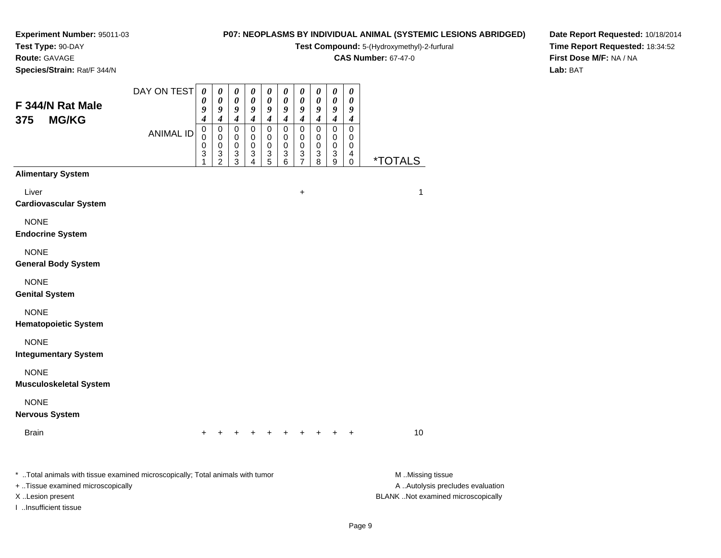**Test Type:** 90-DAY

**Route:** GAVAGE

**Species/Strain:** Rat/F 344/N

## **P07: NEOPLASMS BY INDIVIDUAL ANIMAL (SYSTEMIC LESIONS ABRIDGED)**

**Test Compound:** 5-(Hydroxymethyl)-2-furfural

**CAS Number:** 67-47-0

**Date Report Requested:** 10/18/2014 **Time Report Requested:** 18:34:52**First Dose M/F:** NA / NA**Lab:** BAT

| F 344/N Rat Male                                                                                                                                                  | DAY ON TEST      | $\pmb{\theta}$<br>0<br>9<br>4   | 0<br>0<br>9<br>4             | 0<br>0<br>9<br>$\boldsymbol{4}$ | 0<br>0<br>9<br>$\boldsymbol{4}$ | $\boldsymbol{\theta}$<br>0<br>9<br>$\boldsymbol{4}$ | 0<br>0<br>9<br>4                        | $\pmb{\theta}$<br>0<br>9<br>$\boldsymbol{4}$                     | $\pmb{\theta}$<br>0<br>9<br>$\boldsymbol{4}$ | 0<br>0<br>9<br>$\boldsymbol{4}$         | $\pmb{\theta}$<br>0<br>9             |                                                                                             |
|-------------------------------------------------------------------------------------------------------------------------------------------------------------------|------------------|---------------------------------|------------------------------|---------------------------------|---------------------------------|-----------------------------------------------------|-----------------------------------------|------------------------------------------------------------------|----------------------------------------------|-----------------------------------------|--------------------------------------|---------------------------------------------------------------------------------------------|
| <b>MG/KG</b><br>375                                                                                                                                               | <b>ANIMAL ID</b> | $\mathbf 0$<br>0<br>0<br>3<br>1 | 0<br>0<br>0<br>$\frac{3}{2}$ | 0<br>0<br>0<br>3<br>3           | $\pmb{0}$<br>0<br>0<br>3<br>4   | $\mathbf 0$<br>0<br>0<br>3<br>5                     | $\pmb{0}$<br>0<br>$\mathbf 0$<br>3<br>6 | $\mathsf 0$<br>$\mathbf 0$<br>$\mathbf 0$<br>3<br>$\overline{7}$ | $\mathsf 0$<br>0<br>$\mathbf 0$<br>3<br>8    | $\mathbf 0$<br>0<br>$\pmb{0}$<br>3<br>9 | 4<br>0<br>0<br>$\mathbf 0$<br>4<br>0 | <i><b>*TOTALS</b></i>                                                                       |
| <b>Alimentary System</b>                                                                                                                                          |                  |                                 |                              |                                 |                                 |                                                     |                                         |                                                                  |                                              |                                         |                                      |                                                                                             |
| Liver<br><b>Cardiovascular System</b>                                                                                                                             |                  |                                 |                              |                                 |                                 |                                                     |                                         | $\ddot{}$                                                        |                                              |                                         |                                      | $\mathbf{1}$                                                                                |
| <b>NONE</b><br><b>Endocrine System</b>                                                                                                                            |                  |                                 |                              |                                 |                                 |                                                     |                                         |                                                                  |                                              |                                         |                                      |                                                                                             |
| <b>NONE</b><br><b>General Body System</b>                                                                                                                         |                  |                                 |                              |                                 |                                 |                                                     |                                         |                                                                  |                                              |                                         |                                      |                                                                                             |
| <b>NONE</b><br><b>Genital System</b>                                                                                                                              |                  |                                 |                              |                                 |                                 |                                                     |                                         |                                                                  |                                              |                                         |                                      |                                                                                             |
| <b>NONE</b><br><b>Hematopoietic System</b>                                                                                                                        |                  |                                 |                              |                                 |                                 |                                                     |                                         |                                                                  |                                              |                                         |                                      |                                                                                             |
| <b>NONE</b><br><b>Integumentary System</b>                                                                                                                        |                  |                                 |                              |                                 |                                 |                                                     |                                         |                                                                  |                                              |                                         |                                      |                                                                                             |
| <b>NONE</b><br><b>Musculoskeletal System</b>                                                                                                                      |                  |                                 |                              |                                 |                                 |                                                     |                                         |                                                                  |                                              |                                         |                                      |                                                                                             |
| <b>NONE</b><br><b>Nervous System</b>                                                                                                                              |                  |                                 |                              |                                 |                                 |                                                     |                                         |                                                                  |                                              |                                         |                                      |                                                                                             |
| <b>Brain</b>                                                                                                                                                      |                  |                                 |                              |                                 |                                 |                                                     |                                         |                                                                  |                                              |                                         |                                      | 10                                                                                          |
| *  Total animals with tissue examined microscopically; Total animals with tumor<br>+ Tissue examined microscopically<br>X Lesion present<br>I Insufficient tissue |                  |                                 |                              |                                 |                                 |                                                     |                                         |                                                                  |                                              |                                         |                                      | M Missing tissue<br>A  Autolysis precludes evaluation<br>BLANK Not examined microscopically |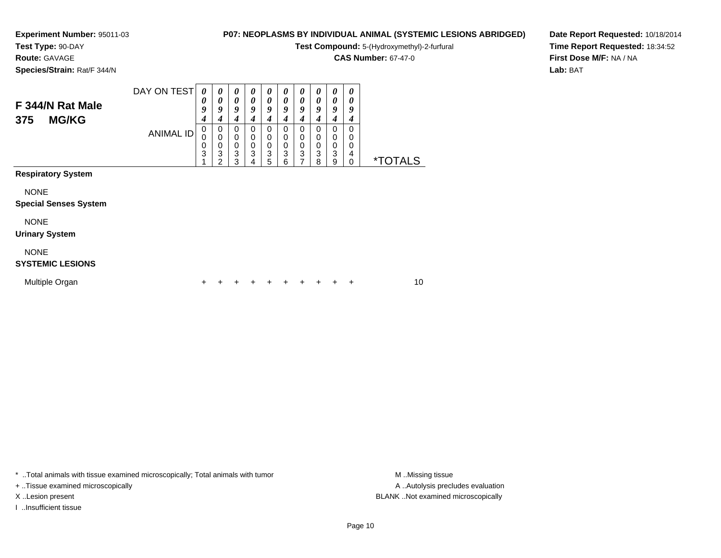**Test Type:** 90-DAY

**Route:** GAVAGE

**Species/Strain:** Rat/F 344/N

## **P07: NEOPLASMS BY INDIVIDUAL ANIMAL (SYSTEMIC LESIONS ABRIDGED)**

**Test Compound:** 5-(Hydroxymethyl)-2-furfural

**CAS Number:** 67-47-0

**Date Report Requested:** 10/18/2014**Time Report Requested:** 18:34:52**First Dose M/F:** NA / NA**Lab:** BAT

| F 344/N Rat Male<br><b>MG/KG</b><br>375     | DAY ON TEST      | 0<br>0<br>9<br>4 | $\boldsymbol{\theta}$<br>$\boldsymbol{\theta}$<br>9<br>$\boldsymbol{4}$ | $\boldsymbol{\theta}$<br>0<br>9<br>4   | $\boldsymbol{\theta}$<br>$\boldsymbol{\theta}$<br>9<br>4 | 0<br>$\theta$<br>9<br>4                 | $\boldsymbol{\theta}$<br>$\boldsymbol{\theta}$<br>9<br>$\boldsymbol{4}$ | 0<br>$\boldsymbol{\theta}$<br>9<br>4    | 0<br>0<br>9<br>4      | 0<br>0<br>9<br>4      | $\boldsymbol{\theta}$<br>0<br>9<br>4 |                       |    |
|---------------------------------------------|------------------|------------------|-------------------------------------------------------------------------|----------------------------------------|----------------------------------------------------------|-----------------------------------------|-------------------------------------------------------------------------|-----------------------------------------|-----------------------|-----------------------|--------------------------------------|-----------------------|----|
| <b>Respiratory System</b>                   | <b>ANIMAL ID</b> | 0<br>0<br>0<br>3 | 0<br>$\boldsymbol{0}$<br>$\mathbf 0$<br>3<br>2                          | 0<br>$\mathbf 0$<br>$\frac{0}{3}$<br>3 | $\begin{matrix} 0 \\ 0 \\ 0 \\ 3 \end{matrix}$<br>4      | 0<br>$\mathbf 0$<br>$\pmb{0}$<br>3<br>5 | 0<br>$\begin{matrix} 0 \\ 0 \\ 3 \end{matrix}$<br>6                     | 0<br>0<br>$\pmb{0}$<br>$\mathsf 3$<br>7 | 0<br>0<br>$_3^0$<br>8 | 0<br>0<br>0<br>3<br>9 | 0<br>0<br>0<br>4<br>0                | <i><b>*TOTALS</b></i> |    |
|                                             |                  |                  |                                                                         |                                        |                                                          |                                         |                                                                         |                                         |                       |                       |                                      |                       |    |
| <b>NONE</b><br><b>Special Senses System</b> |                  |                  |                                                                         |                                        |                                                          |                                         |                                                                         |                                         |                       |                       |                                      |                       |    |
| <b>NONE</b><br><b>Urinary System</b>        |                  |                  |                                                                         |                                        |                                                          |                                         |                                                                         |                                         |                       |                       |                                      |                       |    |
| <b>NONE</b><br><b>SYSTEMIC LESIONS</b>      |                  |                  |                                                                         |                                        |                                                          |                                         |                                                                         |                                         |                       |                       |                                      |                       |    |
| Multiple Organ                              |                  | +                |                                                                         |                                        |                                                          |                                         |                                                                         |                                         |                       |                       | ÷                                    |                       | 10 |

\* ..Total animals with tissue examined microscopically; Total animals with tumor **M** . Missing tissue M ..Missing tissue

+ ..Tissue examined microscopically

I ..Insufficient tissue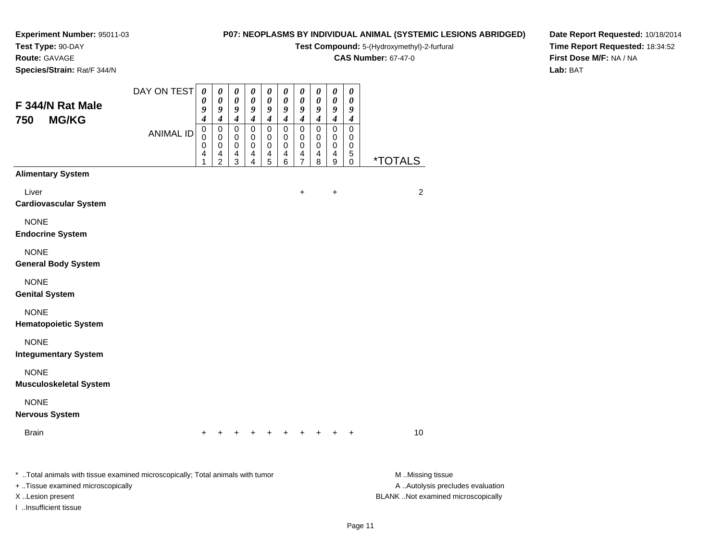**Test Type:** 90-DAY

## **Route:** GAVAGE

**Species/Strain:** Rat/F 344/N

## **P07: NEOPLASMS BY INDIVIDUAL ANIMAL (SYSTEMIC LESIONS ABRIDGED)**

**Test Compound:** 5-(Hydroxymethyl)-2-furfural

**CAS Number:** 67-47-0

**Date Report Requested:** 10/18/2014 **Time Report Requested:** 18:34:52**First Dose M/F:** NA / NA**Lab:** BAT

| F 344/N Rat Male<br><b>MG/KG</b><br>750                                                                                                                          | DAY ON TEST      | $\boldsymbol{\theta}$<br>0<br>9<br>4 | $\boldsymbol{\theta}$<br>$\boldsymbol{\theta}$<br>9<br>4 | 0<br>$\pmb{\theta}$<br>9<br>4   | $\pmb{\theta}$<br>0<br>9<br>$\boldsymbol{4}$ | 0<br>0<br>9<br>4      | 0<br>0<br>9<br>4      | 0<br>$\boldsymbol{\theta}$<br>$\boldsymbol{9}$<br>$\boldsymbol{4}$ | $\pmb{\theta}$<br>$\boldsymbol{\theta}$<br>9<br>$\boldsymbol{4}$ | $\boldsymbol{\theta}$<br>$\boldsymbol{\theta}$<br>$\boldsymbol{g}$<br>$\boldsymbol{4}$ | $\boldsymbol{\theta}$<br>0<br>9<br>$\boldsymbol{4}$ |                                                                                             |
|------------------------------------------------------------------------------------------------------------------------------------------------------------------|------------------|--------------------------------------|----------------------------------------------------------|---------------------------------|----------------------------------------------|-----------------------|-----------------------|--------------------------------------------------------------------|------------------------------------------------------------------|----------------------------------------------------------------------------------------|-----------------------------------------------------|---------------------------------------------------------------------------------------------|
|                                                                                                                                                                  | <b>ANIMAL ID</b> | $\pmb{0}$<br>0<br>0<br>4<br>1        | $\pmb{0}$<br>$\mathbf 0$<br>0<br>4<br>$\overline{c}$     | $\mathbf 0$<br>0<br>0<br>4<br>3 | $\pmb{0}$<br>0<br>0<br>4<br>4                | 0<br>0<br>0<br>4<br>5 | 0<br>0<br>0<br>4<br>6 | $\mathbf 0$<br>0<br>0<br>4<br>$\overline{7}$                       | 0<br>0<br>0<br>4<br>8                                            | $\pmb{0}$<br>$\mathbf 0$<br>$\pmb{0}$<br>4<br>$\boldsymbol{9}$                         | $\pmb{0}$<br>0<br>0<br>$\sqrt{5}$<br>$\mathbf 0$    | <i><b>*TOTALS</b></i>                                                                       |
| <b>Alimentary System</b>                                                                                                                                         |                  |                                      |                                                          |                                 |                                              |                       |                       |                                                                    |                                                                  |                                                                                        |                                                     |                                                                                             |
| Liver<br><b>Cardiovascular System</b>                                                                                                                            |                  |                                      |                                                          |                                 |                                              |                       |                       | $\ddot{}$                                                          |                                                                  | $\ddot{}$                                                                              |                                                     | $\overline{c}$                                                                              |
| <b>NONE</b><br><b>Endocrine System</b>                                                                                                                           |                  |                                      |                                                          |                                 |                                              |                       |                       |                                                                    |                                                                  |                                                                                        |                                                     |                                                                                             |
| <b>NONE</b><br><b>General Body System</b>                                                                                                                        |                  |                                      |                                                          |                                 |                                              |                       |                       |                                                                    |                                                                  |                                                                                        |                                                     |                                                                                             |
| <b>NONE</b><br><b>Genital System</b>                                                                                                                             |                  |                                      |                                                          |                                 |                                              |                       |                       |                                                                    |                                                                  |                                                                                        |                                                     |                                                                                             |
| <b>NONE</b><br><b>Hematopoietic System</b>                                                                                                                       |                  |                                      |                                                          |                                 |                                              |                       |                       |                                                                    |                                                                  |                                                                                        |                                                     |                                                                                             |
| <b>NONE</b><br><b>Integumentary System</b>                                                                                                                       |                  |                                      |                                                          |                                 |                                              |                       |                       |                                                                    |                                                                  |                                                                                        |                                                     |                                                                                             |
| <b>NONE</b><br><b>Musculoskeletal System</b>                                                                                                                     |                  |                                      |                                                          |                                 |                                              |                       |                       |                                                                    |                                                                  |                                                                                        |                                                     |                                                                                             |
| <b>NONE</b><br><b>Nervous System</b>                                                                                                                             |                  |                                      |                                                          |                                 |                                              |                       |                       |                                                                    |                                                                  |                                                                                        |                                                     |                                                                                             |
| <b>Brain</b>                                                                                                                                                     |                  |                                      |                                                          |                                 |                                              |                       |                       |                                                                    |                                                                  |                                                                                        |                                                     | 10                                                                                          |
| * Total animals with tissue examined microscopically; Total animals with tumor<br>+ Tissue examined microscopically<br>X Lesion present<br>I Insufficient tissue |                  |                                      |                                                          |                                 |                                              |                       |                       |                                                                    |                                                                  |                                                                                        |                                                     | M Missing tissue<br>A  Autolysis precludes evaluation<br>BLANK Not examined microscopically |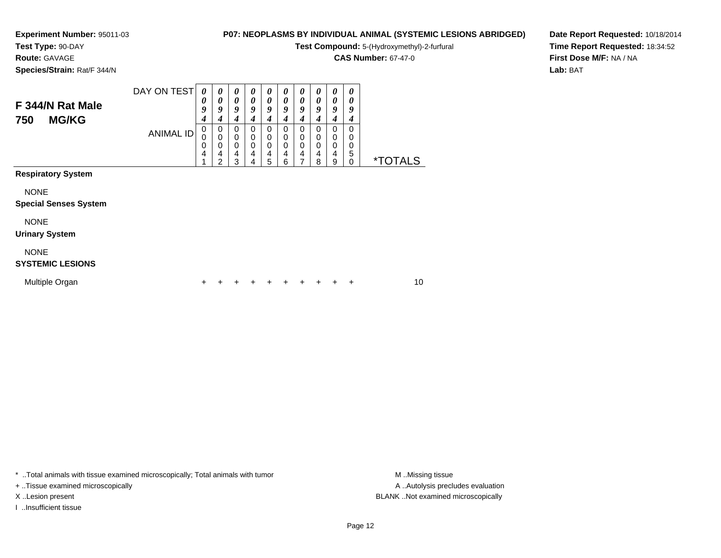**Test Type:** 90-DAY

**Route:** GAVAGE

**Species/Strain:** Rat/F 344/N

### **P07: NEOPLASMS BY INDIVIDUAL ANIMAL (SYSTEMIC LESIONS ABRIDGED)**

**Test Compound:** 5-(Hydroxymethyl)-2-furfural

**CAS Number:** 67-47-0

**Date Report Requested:** 10/18/2014**Time Report Requested:** 18:34:52**First Dose M/F:** NA / NA**Lab:** BAT

| F 344/N Rat Male<br><b>MG/KG</b><br>750     | DAY ON TEST      | 0<br>0<br>9<br>4 | 0<br>0<br>9<br>$\boldsymbol{4}$              | 0<br>0<br>9<br>4      | $\boldsymbol{\theta}$<br>$\boldsymbol{\theta}$<br>9<br>4        | $\boldsymbol{\theta}$<br>0<br>9<br>4 | 0<br>$\boldsymbol{\theta}$<br>9<br>4    | 0<br>$\boldsymbol{\theta}$<br>9<br>4 | $\boldsymbol{\theta}$<br>0<br>9<br>4 | 0<br>0<br>9<br>4      | $\theta$<br>0<br>9<br>4 |                       |  |
|---------------------------------------------|------------------|------------------|----------------------------------------------|-----------------------|-----------------------------------------------------------------|--------------------------------------|-----------------------------------------|--------------------------------------|--------------------------------------|-----------------------|-------------------------|-----------------------|--|
|                                             | <b>ANIMAL ID</b> | 0<br>0<br>0<br>4 | 0<br>$\mathbf 0$<br>0<br>$\overline{4}$<br>2 | 0<br>0<br>0<br>4<br>3 | 0<br>$\mathbf 0$<br>$\mathbf 0$<br>$\overline{\mathbf{4}}$<br>4 | 0<br>0<br>0<br>4<br>5                | 0<br>$\pmb{0}$<br>$\mathbf 0$<br>4<br>6 | 0<br>0<br>0<br>4                     | 0<br>0<br>$\,0\,$<br>4<br>8          | 0<br>0<br>0<br>4<br>9 | 0<br>0<br>0<br>5<br>0   | <i><b>*TOTALS</b></i> |  |
| <b>Respiratory System</b>                   |                  |                  |                                              |                       |                                                                 |                                      |                                         |                                      |                                      |                       |                         |                       |  |
| <b>NONE</b><br><b>Special Senses System</b> |                  |                  |                                              |                       |                                                                 |                                      |                                         |                                      |                                      |                       |                         |                       |  |
| <b>NONE</b><br><b>Urinary System</b>        |                  |                  |                                              |                       |                                                                 |                                      |                                         |                                      |                                      |                       |                         |                       |  |
| <b>NONE</b><br><b>SYSTEMIC LESIONS</b>      |                  |                  |                                              |                       |                                                                 |                                      |                                         |                                      |                                      |                       |                         |                       |  |
| Multiple Organ                              |                  | +                |                                              |                       |                                                                 |                                      |                                         |                                      |                                      |                       | ÷                       | 10                    |  |

\* ..Total animals with tissue examined microscopically; Total animals with tumor **M** . Missing tissue M ..Missing tissue

+ ..Tissue examined microscopically

I ..Insufficient tissue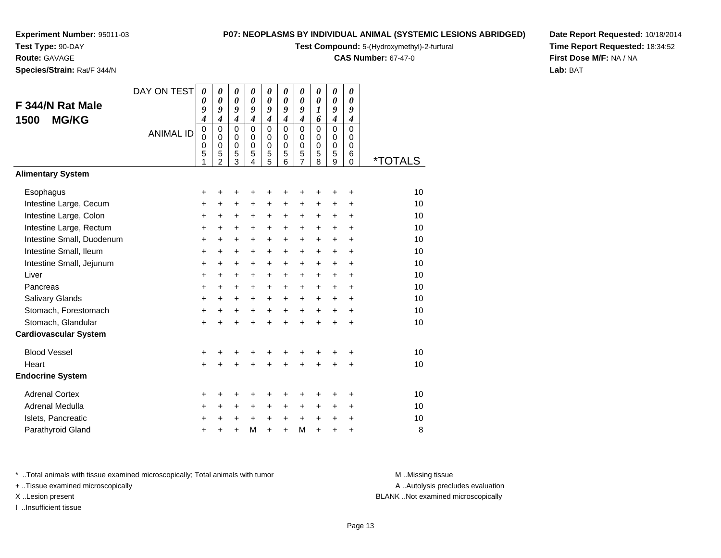**Test Type:** 90-DAY**Route:** GAVAGE

**Species/Strain:** Rat/F 344/N

#### **P07: NEOPLASMS BY INDIVIDUAL ANIMAL (SYSTEMIC LESIONS ABRIDGED)**

**Test Compound:** 5-(Hydroxymethyl)-2-furfural

**CAS Number:** 67-47-0

**Date Report Requested:** 10/18/2014**Time Report Requested:** 18:34:52**First Dose M/F:** NA / NA**Lab:** BAT

| F 344/N Rat Male<br><b>MG/KG</b><br>1500 | DAY ON TEST<br><b>ANIMAL ID</b> | $\boldsymbol{\theta}$<br>0<br>9<br>$\boldsymbol{4}$<br>$\mathbf 0$<br>0<br>$\mathbf 0$<br>5<br>1 | 0<br>$\boldsymbol{\theta}$<br>9<br>$\boldsymbol{4}$<br>$\Omega$<br>$\mathbf 0$<br>$\mathbf 0$<br>5<br>$\overline{2}$ | 0<br>$\boldsymbol{\theta}$<br>9<br>$\boldsymbol{4}$<br>$\Omega$<br>0<br>$\mathbf 0$<br>5<br>3 | 0<br>$\boldsymbol{\theta}$<br>9<br>$\boldsymbol{4}$<br>$\Omega$<br>$\Omega$<br>$\mathbf 0$<br>5<br>4 | 0<br>$\boldsymbol{\theta}$<br>9<br>$\boldsymbol{4}$<br>$\Omega$<br>0<br>$\pmb{0}$<br>5<br>5 | 0<br>$\boldsymbol{\theta}$<br>$\boldsymbol{g}$<br>$\boldsymbol{4}$<br>$\Omega$<br>0<br>$\mathbf 0$<br>5<br>6 | 0<br>$\boldsymbol{\theta}$<br>9<br>$\boldsymbol{4}$<br>$\mathbf 0$<br>0<br>$\pmb{0}$<br>5<br>$\overline{7}$ | 0<br>$\boldsymbol{\theta}$<br>1<br>6<br>$\Omega$<br>0<br>0<br>5<br>8 | 0<br>$\boldsymbol{\theta}$<br>9<br>$\boldsymbol{4}$<br>$\Omega$<br>0<br>0<br>5<br>9 | 0<br>0<br>9<br>$\boldsymbol{4}$<br>$\Omega$<br>$\Omega$<br>$\mathbf 0$<br>6<br>0 | <i><b>*TOTALS</b></i> |
|------------------------------------------|---------------------------------|--------------------------------------------------------------------------------------------------|----------------------------------------------------------------------------------------------------------------------|-----------------------------------------------------------------------------------------------|------------------------------------------------------------------------------------------------------|---------------------------------------------------------------------------------------------|--------------------------------------------------------------------------------------------------------------|-------------------------------------------------------------------------------------------------------------|----------------------------------------------------------------------|-------------------------------------------------------------------------------------|----------------------------------------------------------------------------------|-----------------------|
| <b>Alimentary System</b>                 |                                 |                                                                                                  |                                                                                                                      |                                                                                               |                                                                                                      |                                                                                             |                                                                                                              |                                                                                                             |                                                                      |                                                                                     |                                                                                  |                       |
| Esophagus                                |                                 | +                                                                                                | +                                                                                                                    | +                                                                                             | +                                                                                                    | +                                                                                           | +                                                                                                            | +                                                                                                           | +                                                                    | +                                                                                   | +                                                                                | 10                    |
| Intestine Large, Cecum                   |                                 | $\ddot{}$                                                                                        | $\ddot{}$                                                                                                            | +                                                                                             | $\ddot{}$                                                                                            | $\ddot{}$                                                                                   | $\ddot{}$                                                                                                    | $\ddot{}$                                                                                                   | $\ddot{}$                                                            | $\ddot{}$                                                                           | $\ddot{}$                                                                        | 10                    |
| Intestine Large, Colon                   |                                 | +                                                                                                | +                                                                                                                    | +                                                                                             | +                                                                                                    | $\ddot{}$                                                                                   | +                                                                                                            | +                                                                                                           | +                                                                    | +                                                                                   | $\ddot{}$                                                                        | 10                    |
| Intestine Large, Rectum                  |                                 | $\ddot{}$                                                                                        | $\ddot{}$                                                                                                            | +                                                                                             | +                                                                                                    | $\ddot{}$                                                                                   | $\ddot{}$                                                                                                    | $\ddot{}$                                                                                                   | $\ddot{}$                                                            | $\ddot{}$                                                                           | $\ddot{}$                                                                        | 10                    |
| Intestine Small, Duodenum                |                                 | $\ddot{}$                                                                                        | $\ddot{}$                                                                                                            | +                                                                                             | +                                                                                                    | +                                                                                           | $\ddot{}$                                                                                                    | $\ddot{}$                                                                                                   | $\ddot{}$                                                            | +                                                                                   | $\ddot{}$                                                                        | 10                    |
| Intestine Small, Ileum                   |                                 | $\ddot{}$                                                                                        | $\ddot{}$                                                                                                            | +                                                                                             | $\ddot{}$                                                                                            | +                                                                                           | $\ddot{}$                                                                                                    | $\ddot{}$                                                                                                   | $\ddot{}$                                                            | +                                                                                   | $\ddot{}$                                                                        | 10                    |
| Intestine Small, Jejunum                 |                                 | $\ddot{}$                                                                                        | $\ddot{}$                                                                                                            | $\ddot{}$                                                                                     | $\ddot{}$                                                                                            | $\ddot{}$                                                                                   | $\ddot{}$                                                                                                    | $\ddot{}$                                                                                                   | $\ddot{}$                                                            | $\ddot{}$                                                                           | $\ddot{}$                                                                        | 10                    |
| Liver                                    |                                 | $\ddot{}$                                                                                        | $\ddot{}$                                                                                                            | $\ddot{}$                                                                                     | $\ddot{}$                                                                                            | $\ddot{}$                                                                                   | $\ddot{}$                                                                                                    | $\ddot{}$                                                                                                   | $\ddot{}$                                                            | $\ddot{}$                                                                           | $\ddot{}$                                                                        | 10                    |
| Pancreas                                 |                                 | $\ddot{}$                                                                                        | $\ddot{}$                                                                                                            | +                                                                                             | +                                                                                                    | $\ddot{}$                                                                                   | $\ddot{}$                                                                                                    | $\ddot{}$                                                                                                   | $\pm$                                                                | $\ddot{}$                                                                           | $\ddot{}$                                                                        | 10                    |
| Salivary Glands                          |                                 | $\ddot{}$                                                                                        | +                                                                                                                    | $\ddot{}$                                                                                     | $\ddot{}$                                                                                            | $\ddot{}$                                                                                   | $\ddot{}$                                                                                                    | $\ddot{}$                                                                                                   | $\ddot{}$                                                            | $\ddot{}$                                                                           | $\ddot{}$                                                                        | 10                    |
| Stomach, Forestomach                     |                                 | +                                                                                                | $\ddot{}$                                                                                                            | $\ddot{}$                                                                                     | $\ddot{}$                                                                                            | $\ddot{}$                                                                                   | $\ddot{}$                                                                                                    | $\ddot{}$                                                                                                   | $\ddot{}$                                                            | $\ddot{}$                                                                           | $\ddot{}$                                                                        | 10                    |
| Stomach, Glandular                       |                                 | $\ddot{}$                                                                                        | $\ddot{}$                                                                                                            | $\ddot{}$                                                                                     | $\ddot{}$                                                                                            | $\ddot{}$                                                                                   | $\ddot{}$                                                                                                    | $+$                                                                                                         | $\ddot{}$                                                            | $+$                                                                                 | $\ddot{}$                                                                        | 10                    |
| <b>Cardiovascular System</b>             |                                 |                                                                                                  |                                                                                                                      |                                                                                               |                                                                                                      |                                                                                             |                                                                                                              |                                                                                                             |                                                                      |                                                                                     |                                                                                  |                       |
| <b>Blood Vessel</b>                      |                                 | $\ddot{}$                                                                                        |                                                                                                                      | +                                                                                             | +                                                                                                    | +                                                                                           |                                                                                                              |                                                                                                             |                                                                      | +                                                                                   | +                                                                                | 10                    |
| Heart                                    |                                 | $\ddot{}$                                                                                        |                                                                                                                      | $\ddot{}$                                                                                     | $\ddot{}$                                                                                            | $\ddot{}$                                                                                   | $\ddot{}$                                                                                                    | $\ddot{}$                                                                                                   | ÷                                                                    | +                                                                                   | $\ddot{}$                                                                        | 10                    |
| <b>Endocrine System</b>                  |                                 |                                                                                                  |                                                                                                                      |                                                                                               |                                                                                                      |                                                                                             |                                                                                                              |                                                                                                             |                                                                      |                                                                                     |                                                                                  |                       |
| <b>Adrenal Cortex</b>                    |                                 | +                                                                                                | +                                                                                                                    | +                                                                                             | +                                                                                                    | +                                                                                           | +                                                                                                            | +                                                                                                           | +                                                                    | +                                                                                   | +                                                                                | 10                    |
| Adrenal Medulla                          |                                 | $\ddot{}$                                                                                        | $\ddot{}$                                                                                                            | +                                                                                             | $\ddot{}$                                                                                            | $\ddot{}$                                                                                   | $\ddot{}$                                                                                                    | $\ddot{}$                                                                                                   | $\ddot{}$                                                            | $\ddot{}$                                                                           | $\ddot{}$                                                                        | 10                    |
| Islets, Pancreatic                       |                                 | +                                                                                                | +                                                                                                                    | +                                                                                             | +                                                                                                    | +                                                                                           | $\ddot{}$                                                                                                    | $\ddot{}$                                                                                                   | $\ddot{}$                                                            | +                                                                                   | +                                                                                | 10                    |
| Parathyroid Gland                        |                                 |                                                                                                  |                                                                                                                      | $\ddot{}$                                                                                     | М                                                                                                    | $\ddot{}$                                                                                   | ÷                                                                                                            | M                                                                                                           | $\ddot{}$                                                            | $\ddot{}$                                                                           | $\ddot{}$                                                                        | 8                     |

\* ..Total animals with tissue examined microscopically; Total animals with tumor **M** . Missing tissue M ..Missing tissue

+ ..Tissue examined microscopically

I ..Insufficient tissue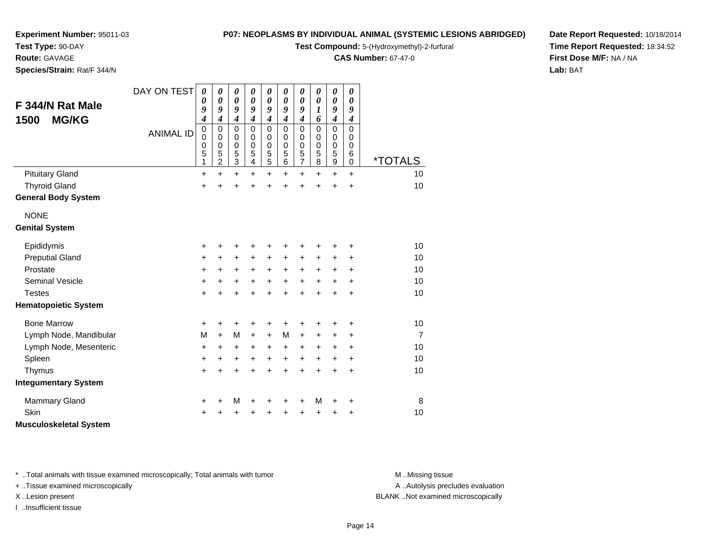**Test Type:** 90-DAY

**Route:** GAVAGE

**Species/Strain:** Rat/F 344/N

#### **P07: NEOPLASMS BY INDIVIDUAL ANIMAL (SYSTEMIC LESIONS ABRIDGED)**

**Test Compound:** 5-(Hydroxymethyl)-2-furfural

**CAS Number:** 67-47-0

**Date Report Requested:** 10/18/2014**Time Report Requested:** 18:34:52**First Dose M/F:** NA / NA**Lab:** BAT

| F 344/N Rat Male<br><b>MG/KG</b><br>1500 | DAY ON TEST      | $\boldsymbol{\theta}$<br>0<br>9<br>4    | 0<br>0<br>9<br>4      | 0<br>$\pmb{\theta}$<br>9<br>$\boldsymbol{4}$ | 0<br>0<br>9<br>$\boldsymbol{4}$           | 0<br>$\boldsymbol{\theta}$<br>9<br>$\boldsymbol{4}$ | 0<br>$\boldsymbol{\theta}$<br>9<br>$\boldsymbol{4}$ | $\boldsymbol{\theta}$<br>0<br>9<br>$\boldsymbol{4}$    | 0<br>0<br>1<br>6                          | $\boldsymbol{\theta}$<br>$\boldsymbol{\theta}$<br>9<br>$\boldsymbol{4}$ | $\boldsymbol{\theta}$<br>$\boldsymbol{\theta}$<br>9<br>$\boldsymbol{4}$ |                       |
|------------------------------------------|------------------|-----------------------------------------|-----------------------|----------------------------------------------|-------------------------------------------|-----------------------------------------------------|-----------------------------------------------------|--------------------------------------------------------|-------------------------------------------|-------------------------------------------------------------------------|-------------------------------------------------------------------------|-----------------------|
|                                          | <b>ANIMAL ID</b> | $\mathbf 0$<br>$\pmb{0}$<br>0<br>5<br>1 | 0<br>0<br>0<br>5<br>2 | $\mathbf 0$<br>0<br>$\mathbf 0$<br>5<br>3    | $\mathbf 0$<br>0<br>$\mathbf 0$<br>5<br>4 | $\mathbf 0$<br>0<br>$\mathbf 0$<br>5<br>5           | $\mathbf 0$<br>0<br>$\mathbf 0$<br>5<br>6           | $\mathbf 0$<br>0<br>$\mathbf 0$<br>5<br>$\overline{7}$ | $\mathbf 0$<br>0<br>$\mathbf 0$<br>5<br>8 | $\mathbf 0$<br>0<br>$\mathbf 0$<br>5<br>$\mathsf g$                     | $\mathbf 0$<br>0<br>$\mathbf 0$<br>6<br>$\mathbf 0$                     | <i><b>*TOTALS</b></i> |
| <b>Pituitary Gland</b>                   |                  | +                                       | $\ddot{}$             | $\ddot{}$                                    | $\ddot{}$                                 | $\ddot{}$                                           | $\ddot{}$                                           | $\ddot{}$                                              | +                                         | $\ddot{}$                                                               | $\ddot{}$                                                               | 10                    |
| <b>Thyroid Gland</b>                     |                  | +                                       | +                     | +                                            | $\ddot{}$                                 | $\ddot{}$                                           | $\ddot{}$                                           | +                                                      | $\ddot{}$                                 | $\ddot{}$                                                               | $\ddot{}$                                                               | 10                    |
| <b>General Body System</b>               |                  |                                         |                       |                                              |                                           |                                                     |                                                     |                                                        |                                           |                                                                         |                                                                         |                       |
| <b>NONE</b>                              |                  |                                         |                       |                                              |                                           |                                                     |                                                     |                                                        |                                           |                                                                         |                                                                         |                       |
| <b>Genital System</b>                    |                  |                                         |                       |                                              |                                           |                                                     |                                                     |                                                        |                                           |                                                                         |                                                                         |                       |
| Epididymis                               |                  | +                                       | +                     | +                                            | +                                         | +                                                   |                                                     | +                                                      |                                           | +                                                                       | +                                                                       | 10                    |
| <b>Preputial Gland</b>                   |                  | +                                       | +                     | +                                            | +                                         | +                                                   | +                                                   | +                                                      | +                                         | +                                                                       | ÷                                                                       | 10                    |
| Prostate                                 |                  | +                                       | +                     | +                                            | +                                         | $\ddot{}$                                           | $\ddot{}$                                           | $\ddot{}$                                              | +                                         | $\ddot{}$                                                               | $\ddot{}$                                                               | 10                    |
| <b>Seminal Vesicle</b>                   |                  | +                                       | +                     | +                                            | $\ddot{}$                                 | $\ddot{}$                                           | $\ddot{}$                                           | $\ddot{}$                                              | $\ddot{}$                                 | $\ddot{}$                                                               | +                                                                       | 10                    |
| <b>Testes</b>                            |                  | $\ddot{}$                               | +                     | $\ddot{}$                                    | +                                         | $\ddot{}$                                           | $\ddot{}$                                           | $\ddot{}$                                              | $\ddot{}$                                 | $\ddot{}$                                                               | $\ddot{}$                                                               | 10                    |
| <b>Hematopoietic System</b>              |                  |                                         |                       |                                              |                                           |                                                     |                                                     |                                                        |                                           |                                                                         |                                                                         |                       |
| <b>Bone Marrow</b>                       |                  | +                                       | +                     | +                                            | +                                         | +                                                   | +                                                   | +                                                      |                                           | +                                                                       | +                                                                       | 10                    |
| Lymph Node, Mandibular                   |                  | M                                       | $+$                   | M                                            | $\ddot{}$                                 | $\ddot{}$                                           | M                                                   | $\ddot{}$                                              | +                                         | +                                                                       | $\ddot{}$                                                               | $\overline{7}$        |
| Lymph Node, Mesenteric                   |                  | +                                       | $\ddot{}$             | $\ddot{}$                                    | +                                         | +                                                   | +                                                   | $\ddot{}$                                              | $\ddot{}$                                 | $\ddot{}$                                                               | $\ddot{}$                                                               | 10                    |
| Spleen                                   |                  | +                                       | +                     | +                                            | $\ddot{}$                                 | $\ddot{}$                                           | $\ddot{}$                                           | $\ddot{}$                                              | +                                         | +                                                                       | +                                                                       | 10                    |
| Thymus                                   |                  | +                                       | +                     | $\ddot{}$                                    | +                                         | $\ddot{}$                                           | $\ddot{}$                                           | $\ddot{}$                                              | $\ddot{}$                                 | $\ddot{}$                                                               | $\ddot{}$                                                               | 10                    |
| <b>Integumentary System</b>              |                  |                                         |                       |                                              |                                           |                                                     |                                                     |                                                        |                                           |                                                                         |                                                                         |                       |
| <b>Mammary Gland</b>                     |                  | +                                       | +                     | M                                            | +                                         | +                                                   | +                                                   | +                                                      | M                                         | +                                                                       | +                                                                       | 8                     |
| <b>Skin</b>                              |                  | +                                       |                       | +                                            |                                           | +                                                   |                                                     | +                                                      |                                           | +                                                                       | +                                                                       | 10                    |
| <b>Musculoskeletal System</b>            |                  |                                         |                       |                                              |                                           |                                                     |                                                     |                                                        |                                           |                                                                         |                                                                         |                       |

\* ..Total animals with tissue examined microscopically; Total animals with tumor **M** . Missing tissue M ..Missing tissue

+ ..Tissue examined microscopically

I ..Insufficient tissue

A ..Autolysis precludes evaluation

X ..Lesion present BLANK ..Not examined microscopically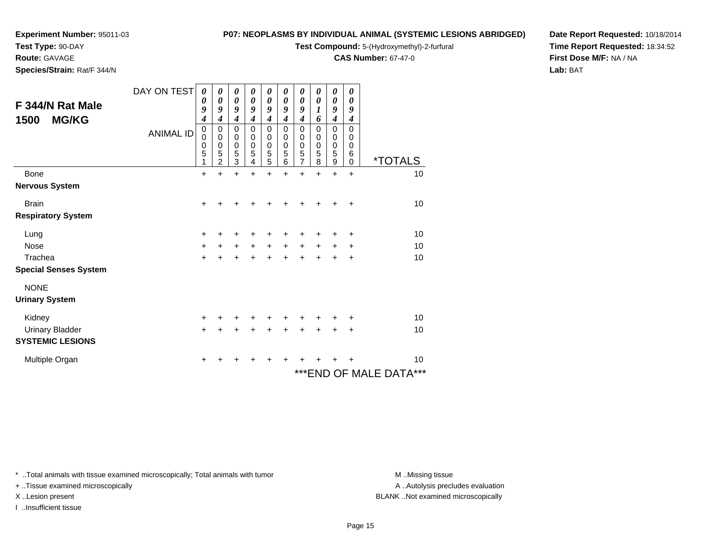**Test Type:** 90-DAY

**Route:** GAVAGE

**Species/Strain:** Rat/F 344/N

#### **P07: NEOPLASMS BY INDIVIDUAL ANIMAL (SYSTEMIC LESIONS ABRIDGED)**

**Test Compound:** 5-(Hydroxymethyl)-2-furfural

**CAS Number:** 67-47-0

**Date Report Requested:** 10/18/2014**Time Report Requested:** 18:34:52**First Dose M/F:** NA / NA**Lab:** BAT

| F 344/N Rat Male<br><b>MG/KG</b><br>1500 | DAY ON TEST<br><b>ANIMAL ID</b> | 0<br>0<br>9<br>4<br>$\pmb{0}$<br>0<br>$\mathbf 0$<br>5<br>1 | 0<br>0<br>9<br>4<br>$\mathbf 0$<br>$\mathbf 0$<br>$\mathbf 0$<br>5<br>$\overline{2}$ | 0<br>0<br>9<br>$\boldsymbol{4}$<br>$\mathbf 0$<br>$\mathbf 0$<br>$\mathbf 0$<br>5<br>3 | 0<br>0<br>9<br>$\boldsymbol{4}$<br>$\mathbf 0$<br>0<br>$\mathbf 0$<br>5<br>4 | 0<br>0<br>9<br>4<br>$\mathbf 0$<br>$\mathbf 0$<br>$\mathbf 0$<br>$\frac{5}{5}$ | 0<br>0<br>9<br>4<br>$\mathbf 0$<br>0<br>0<br>5<br>6 | 0<br>0<br>9<br>$\boldsymbol{4}$<br>$\mathbf 0$<br>0<br>0<br>$\frac{5}{7}$ | 0<br>0<br>1<br>6<br>$\overline{0}$<br>0<br>0<br>5<br>8 | 0<br>0<br>9<br>$\boldsymbol{4}$<br>0<br>0<br>0<br>5<br>9 | 0<br>0<br>9<br>4<br>$\mathbf{0}$<br>$\Omega$<br>0<br>6<br>$\mathbf 0$ | <i><b>*TOTALS</b></i>   |
|------------------------------------------|---------------------------------|-------------------------------------------------------------|--------------------------------------------------------------------------------------|----------------------------------------------------------------------------------------|------------------------------------------------------------------------------|--------------------------------------------------------------------------------|-----------------------------------------------------|---------------------------------------------------------------------------|--------------------------------------------------------|----------------------------------------------------------|-----------------------------------------------------------------------|-------------------------|
| <b>Bone</b>                              |                                 | $\ddot{}$                                                   |                                                                                      | $\ddot{}$                                                                              | +                                                                            | +                                                                              | +                                                   | $\ddot{}$                                                                 | $\ddot{}$                                              | $\ddot{}$                                                | $\ddot{}$                                                             | 10                      |
| <b>Nervous System</b>                    |                                 |                                                             |                                                                                      |                                                                                        |                                                                              |                                                                                |                                                     |                                                                           |                                                        |                                                          |                                                                       |                         |
| <b>Brain</b>                             |                                 | $\ddot{}$                                                   |                                                                                      |                                                                                        |                                                                              |                                                                                |                                                     |                                                                           |                                                        |                                                          | $\ddot{}$                                                             | 10                      |
| <b>Respiratory System</b>                |                                 |                                                             |                                                                                      |                                                                                        |                                                                              |                                                                                |                                                     |                                                                           |                                                        |                                                          |                                                                       |                         |
| Lung                                     |                                 | +                                                           | +                                                                                    | +                                                                                      |                                                                              | +                                                                              | +                                                   | +                                                                         | +                                                      | ٠                                                        | +                                                                     | 10                      |
| <b>Nose</b>                              |                                 | +                                                           | $\ddot{}$                                                                            | $\ddot{}$                                                                              | $\ddot{}$                                                                    | $\ddot{}$                                                                      | $\ddot{}$                                           | $\ddot{}$                                                                 | $\ddot{}$                                              | $\pm$                                                    | ÷                                                                     | 10                      |
| Trachea                                  |                                 | $\ddot{}$                                                   | $\ddot{}$                                                                            | $\ddot{}$                                                                              | $\ddot{}$                                                                    | $+$                                                                            | $\ddot{}$                                           | $\ddot{}$                                                                 | $\ddot{}$                                              | $\ddot{}$                                                | $\ddot{}$                                                             | 10                      |
| <b>Special Senses System</b>             |                                 |                                                             |                                                                                      |                                                                                        |                                                                              |                                                                                |                                                     |                                                                           |                                                        |                                                          |                                                                       |                         |
| <b>NONE</b>                              |                                 |                                                             |                                                                                      |                                                                                        |                                                                              |                                                                                |                                                     |                                                                           |                                                        |                                                          |                                                                       |                         |
| <b>Urinary System</b>                    |                                 |                                                             |                                                                                      |                                                                                        |                                                                              |                                                                                |                                                     |                                                                           |                                                        |                                                          |                                                                       |                         |
| Kidney                                   |                                 | $\ddot{}$                                                   |                                                                                      |                                                                                        |                                                                              |                                                                                |                                                     |                                                                           |                                                        | +                                                        | ٠                                                                     | 10                      |
| <b>Urinary Bladder</b>                   |                                 | $\ddot{}$                                                   |                                                                                      | $\ddot{}$                                                                              |                                                                              |                                                                                |                                                     | $\ddot{}$                                                                 | $\ddot{}$                                              | $\ddot{}$                                                | $\ddot{}$                                                             | 10                      |
| <b>SYSTEMIC LESIONS</b>                  |                                 |                                                             |                                                                                      |                                                                                        |                                                                              |                                                                                |                                                     |                                                                           |                                                        |                                                          |                                                                       |                         |
| Multiple Organ                           |                                 | +                                                           |                                                                                      |                                                                                        |                                                                              |                                                                                |                                                     |                                                                           |                                                        | +                                                        | +                                                                     | 10                      |
|                                          |                                 |                                                             |                                                                                      |                                                                                        |                                                                              |                                                                                |                                                     |                                                                           |                                                        |                                                          |                                                                       | *** END OF MALE DATA*** |

\* ..Total animals with tissue examined microscopically; Total animals with tumor **M** . Missing tissue M ..Missing tissue

+ ..Tissue examined microscopically

I ..Insufficient tissue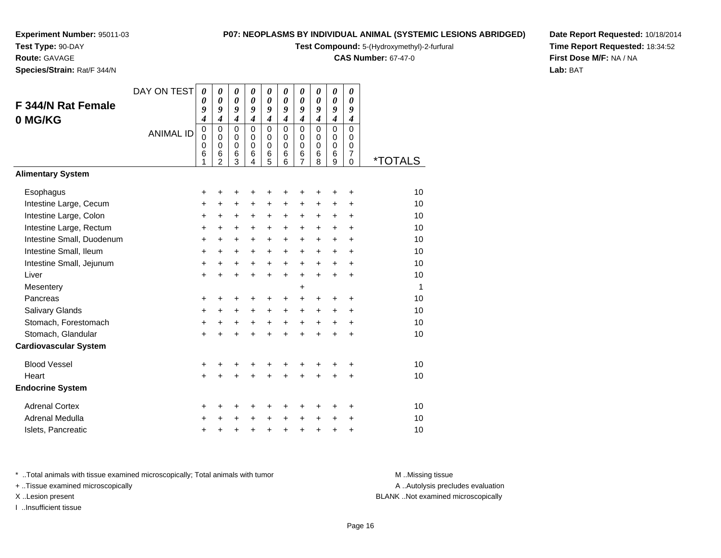**Test Type:** 90-DAY

**Route:** GAVAGE

**Species/Strain:** Rat/F 344/N

#### **P07: NEOPLASMS BY INDIVIDUAL ANIMAL (SYSTEMIC LESIONS ABRIDGED)**

**Test Compound:** 5-(Hydroxymethyl)-2-furfural

**CAS Number:** 67-47-0

**Date Report Requested:** 10/18/2014**Time Report Requested:** 18:34:52**First Dose M/F:** NA / NA**Lab:** BAT

| F 344/N Rat Female<br>0 MG/KG | DAY ON TEST<br><b>ANIMAL ID</b> | $\boldsymbol{\theta}$<br>0<br>9<br>4<br>$\pmb{0}$<br>$\mathbf 0$<br>0<br>6 | 0<br>$\boldsymbol{\theta}$<br>9<br>$\boldsymbol{4}$<br>$\mathbf 0$<br>$\mathbf 0$<br>$\mathbf 0$<br>$6\phantom{1}6$ | 0<br>0<br>9<br>$\boldsymbol{4}$<br>$\mathbf 0$<br>$\mathbf 0$<br>0<br>6 | 0<br>$\boldsymbol{\theta}$<br>9<br>$\boldsymbol{4}$<br>$\Omega$<br>$\Omega$<br>$\mathbf 0$<br>6 | 0<br>$\boldsymbol{\theta}$<br>9<br>$\boldsymbol{4}$<br>$\mathbf 0$<br>0<br>0<br>$\,6$ | 0<br>$\boldsymbol{\theta}$<br>9<br>$\boldsymbol{4}$<br>$\mathbf 0$<br>$\Omega$<br>$\mathbf 0$<br>6 | 0<br>$\boldsymbol{\theta}$<br>9<br>$\boldsymbol{4}$<br>$\mathbf 0$<br>$\mathbf 0$<br>$\mathbf 0$<br>$\,6$ | 0<br>$\boldsymbol{\theta}$<br>9<br>$\boldsymbol{4}$<br>$\Omega$<br>$\Omega$<br>$\mathbf 0$<br>6 | 0<br>$\boldsymbol{\theta}$<br>9<br>$\boldsymbol{4}$<br>$\mathbf 0$<br>$\mathbf 0$<br>0<br>6 | 0<br>0<br>9<br>$\boldsymbol{4}$<br>$\Omega$<br>$\Omega$<br>0<br>$\overline{7}$ |                       |
|-------------------------------|---------------------------------|----------------------------------------------------------------------------|---------------------------------------------------------------------------------------------------------------------|-------------------------------------------------------------------------|-------------------------------------------------------------------------------------------------|---------------------------------------------------------------------------------------|----------------------------------------------------------------------------------------------------|-----------------------------------------------------------------------------------------------------------|-------------------------------------------------------------------------------------------------|---------------------------------------------------------------------------------------------|--------------------------------------------------------------------------------|-----------------------|
|                               |                                 | 1                                                                          | $\overline{2}$                                                                                                      | 3                                                                       | 4                                                                                               | 5                                                                                     | 6                                                                                                  | $\overline{7}$                                                                                            | 8                                                                                               | 9                                                                                           | $\mathbf 0$                                                                    | <i><b>*TOTALS</b></i> |
| <b>Alimentary System</b>      |                                 |                                                                            |                                                                                                                     |                                                                         |                                                                                                 |                                                                                       |                                                                                                    |                                                                                                           |                                                                                                 |                                                                                             |                                                                                |                       |
| Esophagus                     |                                 | +                                                                          | +                                                                                                                   | +                                                                       | +                                                                                               | +                                                                                     | +                                                                                                  | +                                                                                                         | +                                                                                               | +                                                                                           | +                                                                              | 10                    |
| Intestine Large, Cecum        |                                 | +                                                                          | +                                                                                                                   | +                                                                       | +                                                                                               | +                                                                                     | +                                                                                                  | +                                                                                                         | +                                                                                               | +                                                                                           | +                                                                              | 10                    |
| Intestine Large, Colon        |                                 | +                                                                          | $\ddot{}$                                                                                                           | +                                                                       | +                                                                                               | +                                                                                     | +                                                                                                  | +                                                                                                         | +                                                                                               | +                                                                                           | +                                                                              | 10                    |
| Intestine Large, Rectum       |                                 | $\ddot{}$                                                                  | $\ddot{}$                                                                                                           | $\ddot{}$                                                               | $\ddot{}$                                                                                       | $\ddot{}$                                                                             | $\ddot{}$                                                                                          | $\ddot{}$                                                                                                 | $\ddot{}$                                                                                       | $\ddot{}$                                                                                   | $\ddot{}$                                                                      | 10                    |
| Intestine Small, Duodenum     |                                 | $\ddot{}$                                                                  | +                                                                                                                   | $\ddot{}$                                                               | $\ddot{}$                                                                                       | $\ddot{}$                                                                             | $\ddot{}$                                                                                          | $+$                                                                                                       | $\ddot{}$                                                                                       | $\ddot{}$                                                                                   | $\ddot{}$                                                                      | 10                    |
| Intestine Small, Ileum        |                                 | +                                                                          | $\ddot{}$                                                                                                           | +                                                                       | +                                                                                               | +                                                                                     | +                                                                                                  | +                                                                                                         | +                                                                                               | +                                                                                           | +                                                                              | 10                    |
| Intestine Small, Jejunum      |                                 | +                                                                          | $\ddot{}$                                                                                                           | $\ddot{}$                                                               | $\ddot{}$                                                                                       | $\ddot{}$                                                                             | $\ddot{}$                                                                                          | $\ddot{}$                                                                                                 | $\ddot{}$                                                                                       | $\ddot{}$                                                                                   | $\ddot{}$                                                                      | 10                    |
| Liver                         |                                 | $\ddot{}$                                                                  | $\ddot{}$                                                                                                           | $\ddot{}$                                                               | $\ddot{}$                                                                                       | $\ddot{}$                                                                             | $\ddot{}$                                                                                          | $+$                                                                                                       | $\ddot{}$                                                                                       | $\ddot{}$                                                                                   | $\ddot{}$                                                                      | 10                    |
| Mesentery                     |                                 |                                                                            |                                                                                                                     |                                                                         |                                                                                                 |                                                                                       |                                                                                                    | +                                                                                                         |                                                                                                 |                                                                                             |                                                                                | $\mathbf 1$           |
| Pancreas                      |                                 | +                                                                          | $\pm$                                                                                                               | +                                                                       | +                                                                                               | +                                                                                     | +                                                                                                  | $\ddot{}$                                                                                                 | +                                                                                               | +                                                                                           | +                                                                              | 10                    |
| Salivary Glands               |                                 | $\ddot{}$                                                                  | $\ddot{}$                                                                                                           | $\ddot{}$                                                               | $\ddot{}$                                                                                       | $\ddot{}$                                                                             | $\ddot{}$                                                                                          | $\ddot{}$                                                                                                 | +                                                                                               | $\ddot{}$                                                                                   | $\ddot{}$                                                                      | 10                    |
| Stomach, Forestomach          |                                 | +                                                                          | +                                                                                                                   | +                                                                       | +                                                                                               | $\ddot{}$                                                                             | $\ddot{}$                                                                                          | $\ddot{}$                                                                                                 | $\ddot{}$                                                                                       | +                                                                                           | +                                                                              | 10                    |
| Stomach, Glandular            |                                 | $\ddot{}$                                                                  | +                                                                                                                   | +                                                                       | +                                                                                               | +                                                                                     | $\ddot{}$                                                                                          | $\ddot{}$                                                                                                 | $\ddot{}$                                                                                       | $\ddot{}$                                                                                   | $\ddot{}$                                                                      | 10                    |
| <b>Cardiovascular System</b>  |                                 |                                                                            |                                                                                                                     |                                                                         |                                                                                                 |                                                                                       |                                                                                                    |                                                                                                           |                                                                                                 |                                                                                             |                                                                                |                       |
| <b>Blood Vessel</b>           |                                 | +                                                                          | +                                                                                                                   | +                                                                       | +                                                                                               | +                                                                                     | +                                                                                                  | +                                                                                                         | +                                                                                               | +                                                                                           | +                                                                              | 10                    |
| Heart                         |                                 | $\ddot{}$                                                                  |                                                                                                                     | +                                                                       | +                                                                                               | +                                                                                     |                                                                                                    | $\ddot{}$                                                                                                 |                                                                                                 | +                                                                                           | $\ddot{}$                                                                      | 10                    |
| <b>Endocrine System</b>       |                                 |                                                                            |                                                                                                                     |                                                                         |                                                                                                 |                                                                                       |                                                                                                    |                                                                                                           |                                                                                                 |                                                                                             |                                                                                |                       |
| <b>Adrenal Cortex</b>         |                                 | +                                                                          | +                                                                                                                   | +                                                                       | +                                                                                               | +                                                                                     | +                                                                                                  | +                                                                                                         | ٠                                                                                               | +                                                                                           | +                                                                              | 10                    |
| Adrenal Medulla               |                                 | +                                                                          | +                                                                                                                   | +                                                                       | $\ddot{}$                                                                                       | $\ddot{}$                                                                             | $\ddot{}$                                                                                          | +                                                                                                         | $\ddot{}$                                                                                       | +                                                                                           | +                                                                              | 10                    |
| Islets, Pancreatic            |                                 | +                                                                          | +                                                                                                                   | +                                                                       | +                                                                                               | +                                                                                     | $\ddot{}$                                                                                          | +                                                                                                         | +                                                                                               | +                                                                                           | +                                                                              | 10                    |

\* ..Total animals with tissue examined microscopically; Total animals with tumor **M** . Missing tissue M ..Missing tissue

+ ..Tissue examined microscopically

I ..Insufficient tissue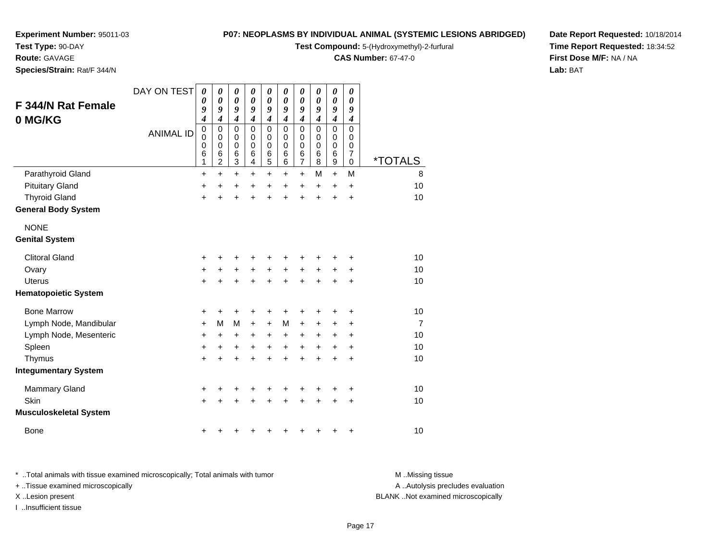**Test Type:** 90-DAY

**Route:** GAVAGE

**Species/Strain:** Rat/F 344/N

#### **P07: NEOPLASMS BY INDIVIDUAL ANIMAL (SYSTEMIC LESIONS ABRIDGED)**

**Test Compound:** 5-(Hydroxymethyl)-2-furfural

**CAS Number:** 67-47-0

**Date Report Requested:** 10/18/2014**Time Report Requested:** 18:34:52**First Dose M/F:** NA / NA**Lab:** BAT

| F 344/N Rat Female<br>0 MG/KG                      | DAY ON TEST      | 0<br>0<br>9<br>4      | 0<br>0<br>9<br>4                   | $\boldsymbol{\theta}$<br>$\boldsymbol{\theta}$<br>9<br>$\boldsymbol{4}$ | 0<br>$\boldsymbol{\theta}$<br>9<br>$\boldsymbol{4}$ | 0<br>0<br>9<br>$\boldsymbol{4}$           | 0<br>0<br>9<br>$\boldsymbol{4}$            | 0<br>$\boldsymbol{\theta}$<br>9<br>$\boldsymbol{4}$                  | 0<br>0<br>9<br>$\boldsymbol{4}$ | $\pmb{\theta}$<br>0<br>9<br>$\boldsymbol{4}$                       | 0<br>0<br>9<br>$\boldsymbol{4}$                     |                       |
|----------------------------------------------------|------------------|-----------------------|------------------------------------|-------------------------------------------------------------------------|-----------------------------------------------------|-------------------------------------------|--------------------------------------------|----------------------------------------------------------------------|---------------------------------|--------------------------------------------------------------------|-----------------------------------------------------|-----------------------|
|                                                    | <b>ANIMAL ID</b> | 0<br>0<br>0<br>6<br>1 | 0<br>0<br>0<br>6<br>$\overline{c}$ | $\mathbf 0$<br>0<br>$\mathbf 0$<br>6<br>$\ensuremath{\mathsf{3}}$       | $\mathbf{0}$<br>0<br>$\mathbf 0$<br>6<br>4          | $\mathbf 0$<br>0<br>$\mathbf 0$<br>6<br>5 | $\mathbf{0}$<br>0<br>$\mathbf 0$<br>6<br>6 | $\mathbf 0$<br>$\mathbf 0$<br>$\mathbf 0$<br>$\,6$<br>$\overline{7}$ | $\Omega$<br>0<br>0<br>6<br>8    | $\mathbf 0$<br>$\pmb{0}$<br>$\pmb{0}$<br>$\,6$<br>$\boldsymbol{9}$ | $\Omega$<br>0<br>0<br>$\overline{7}$<br>$\mathbf 0$ | <i><b>*TOTALS</b></i> |
| Parathyroid Gland                                  |                  | $\ddot{}$             | $\ddot{}$                          | $\ddot{}$                                                               | +                                                   | $\ddot{}$                                 | +                                          | $\ddot{}$                                                            | M                               | $+$                                                                | M                                                   | 8                     |
| <b>Pituitary Gland</b>                             |                  | +                     | +                                  | +                                                                       | +                                                   | +                                         | +                                          | +                                                                    | +                               | +                                                                  | +                                                   | 10                    |
| <b>Thyroid Gland</b><br><b>General Body System</b> |                  | $\ddot{}$             | +                                  | +                                                                       | +                                                   | +                                         | +                                          | $\ddot{}$                                                            | $\ddot{}$                       | $\ddot{}$                                                          | $\ddot{}$                                           | 10                    |
| <b>NONE</b><br><b>Genital System</b>               |                  |                       |                                    |                                                                         |                                                     |                                           |                                            |                                                                      |                                 |                                                                    |                                                     |                       |
| <b>Clitoral Gland</b>                              |                  |                       |                                    |                                                                         |                                                     |                                           |                                            |                                                                      |                                 |                                                                    |                                                     | 10                    |
| Ovary                                              |                  | +<br>+                | +<br>+                             | +<br>+                                                                  | +<br>+                                              | $\ddot{}$                                 | +                                          | $\ddot{}$                                                            | +                               |                                                                    | +<br>+                                              | 10                    |
| <b>Uterus</b>                                      |                  | $\ddot{}$             |                                    | $\ddot{}$                                                               | +                                                   | $\ddot{}$                                 |                                            | $\ddot{}$                                                            |                                 | +<br>Ŧ.                                                            | $\ddot{}$                                           | 10                    |
| <b>Hematopoietic System</b>                        |                  |                       |                                    |                                                                         |                                                     |                                           |                                            |                                                                      |                                 |                                                                    |                                                     |                       |
| <b>Bone Marrow</b>                                 |                  | +                     | +                                  | +                                                                       | +                                                   | +                                         |                                            |                                                                      |                                 | +                                                                  | +                                                   | 10                    |
| Lymph Node, Mandibular                             |                  | +                     | М                                  | M                                                                       | +                                                   | $\ddot{}$                                 | M                                          | $\ddot{}$                                                            | +                               | +                                                                  | +                                                   | $\overline{7}$        |
| Lymph Node, Mesenteric                             |                  | +                     | +                                  | +                                                                       | +                                                   | +                                         | +                                          | +                                                                    | +                               | +                                                                  | +                                                   | 10                    |
| Spleen                                             |                  | +                     | +                                  | +                                                                       | +                                                   | +                                         | +                                          | +                                                                    | +                               | +                                                                  | +                                                   | 10                    |
| Thymus                                             |                  | $\ddot{}$             | +                                  | +                                                                       | +                                                   | +                                         |                                            | $\ddot{}$                                                            | $\ddot{}$                       | $\ddot{}$                                                          | $\ddot{}$                                           | 10                    |
| <b>Integumentary System</b>                        |                  |                       |                                    |                                                                         |                                                     |                                           |                                            |                                                                      |                                 |                                                                    |                                                     |                       |
| Mammary Gland                                      |                  | +                     | +                                  | +                                                                       | +                                                   | +                                         | +                                          | +                                                                    | +                               | +                                                                  | +                                                   | 10                    |
| Skin                                               |                  | $\ddot{}$             |                                    | +                                                                       |                                                     |                                           |                                            |                                                                      |                                 | ÷                                                                  | $\ddot{}$                                           | 10                    |
| <b>Musculoskeletal System</b>                      |                  |                       |                                    |                                                                         |                                                     |                                           |                                            |                                                                      |                                 |                                                                    |                                                     |                       |
| <b>Bone</b>                                        |                  | +                     |                                    |                                                                         |                                                     |                                           |                                            |                                                                      |                                 | +                                                                  | +                                                   | 10                    |

\* ..Total animals with tissue examined microscopically; Total animals with tumor **M** . Missing tissue M ..Missing tissue A ..Autolysis precludes evaluation + ..Tissue examined microscopically X ..Lesion present BLANK ..Not examined microscopicallyI ..Insufficient tissue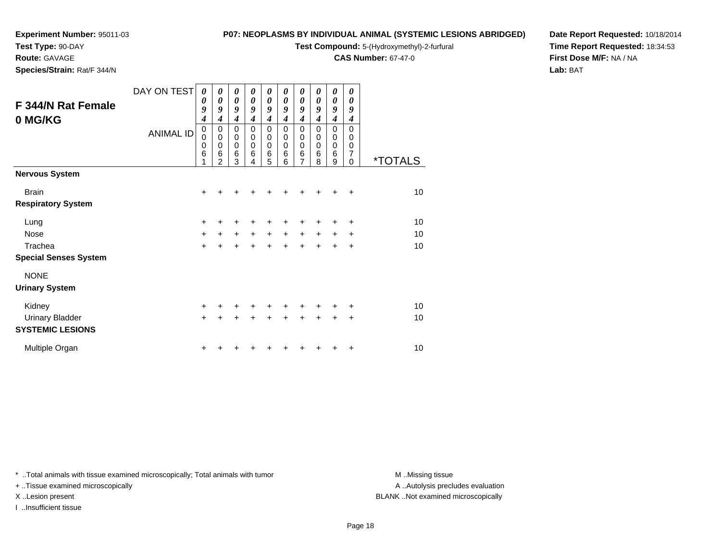**Test Type:** 90-DAY

#### **Route:** GAVAGE

**Species/Strain:** Rat/F 344/N

#### **P07: NEOPLASMS BY INDIVIDUAL ANIMAL (SYSTEMIC LESIONS ABRIDGED)**

**Test Compound:** 5-(Hydroxymethyl)-2-furfural

**CAS Number:** 67-47-0

**Date Report Requested:** 10/18/2014**Time Report Requested:** 18:34:53**First Dose M/F:** NA / NA**Lab:** BAT

| <b>F 344/N Rat Female</b>                         | DAY ON TEST      | 0<br>0                | 0<br>0                                                 | 0<br>$\boldsymbol{\theta}$                      | 0<br>$\boldsymbol{\theta}$                          | 0<br>$\boldsymbol{\theta}$                                           | 0<br>0                                    | 0<br>$\boldsymbol{\theta}$                                       | 0<br>0                                    | 0<br>0                        | 0<br>$\boldsymbol{\theta}$                 |                       |
|---------------------------------------------------|------------------|-----------------------|--------------------------------------------------------|-------------------------------------------------|-----------------------------------------------------|----------------------------------------------------------------------|-------------------------------------------|------------------------------------------------------------------|-------------------------------------------|-------------------------------|--------------------------------------------|-----------------------|
| 0 MG/KG                                           |                  | 9<br>4                | 9<br>4                                                 | 9<br>$\boldsymbol{4}$                           | 9<br>4                                              | 9<br>$\boldsymbol{4}$                                                | 9<br>$\boldsymbol{4}$                     | 9<br>$\boldsymbol{4}$                                            | 9<br>4                                    | 9<br>$\boldsymbol{4}$         | 9<br>$\boldsymbol{4}$                      |                       |
|                                                   | <b>ANIMAL ID</b> | 0<br>0<br>0<br>6<br>1 | 0<br>$\mathbf 0$<br>$\mathbf 0$<br>6<br>$\overline{2}$ | $\mathbf 0$<br>$\pmb{0}$<br>$\pmb{0}$<br>6<br>3 | $\mathbf 0$<br>$\mathbf 0$<br>$\mathbf 0$<br>6<br>4 | $\mathbf 0$<br>$\mathbf 0$<br>$\mathbf 0$<br>$\,6$<br>$\overline{5}$ | $\mathbf 0$<br>0<br>$\mathbf 0$<br>6<br>6 | $\mathbf 0$<br>$\pmb{0}$<br>$\pmb{0}$<br>$\,6$<br>$\overline{7}$ | $\mathbf 0$<br>0<br>$\mathbf 0$<br>6<br>8 | 0<br>$\pmb{0}$<br>0<br>6<br>9 | $\Omega$<br>$\Omega$<br>0<br>7<br>$\Omega$ | <i><b>*TOTALS</b></i> |
| <b>Nervous System</b>                             |                  |                       |                                                        |                                                 |                                                     |                                                                      |                                           |                                                                  |                                           |                               |                                            |                       |
| <b>Brain</b>                                      |                  | $\ddot{}$             |                                                        |                                                 |                                                     |                                                                      |                                           |                                                                  |                                           |                               | $\ddot{}$                                  | 10                    |
| <b>Respiratory System</b>                         |                  |                       |                                                        |                                                 |                                                     |                                                                      |                                           |                                                                  |                                           |                               |                                            |                       |
| Lung                                              |                  | $\ddot{}$             | +                                                      | +                                               | +                                                   | +                                                                    | +                                         | ٠                                                                | ٠                                         | +                             | $\ddot{}$                                  | 10                    |
| <b>Nose</b>                                       |                  | $\ddot{}$             | $+$                                                    | $+$                                             | $+$                                                 | $+$                                                                  | $+$                                       | $+$                                                              | $+$                                       | $\ddot{}$                     | $\ddot{}$                                  | 10                    |
| Trachea                                           |                  | $\ddot{}$             | $\ddot{}$                                              | $\ddot{}$                                       | $+$                                                 | $\ddot{}$                                                            | $\ddot{}$                                 | $+$                                                              | $\ddot{}$                                 | $\ddot{}$                     | $\ddot{}$                                  | 10                    |
| <b>Special Senses System</b>                      |                  |                       |                                                        |                                                 |                                                     |                                                                      |                                           |                                                                  |                                           |                               |                                            |                       |
| <b>NONE</b>                                       |                  |                       |                                                        |                                                 |                                                     |                                                                      |                                           |                                                                  |                                           |                               |                                            |                       |
| <b>Urinary System</b>                             |                  |                       |                                                        |                                                 |                                                     |                                                                      |                                           |                                                                  |                                           |                               |                                            |                       |
| Kidney                                            |                  | $\ddot{}$             |                                                        | +                                               | $\pm$                                               | +                                                                    |                                           | ٠                                                                |                                           | +                             | ÷                                          | 10                    |
| <b>Urinary Bladder</b><br><b>SYSTEMIC LESIONS</b> |                  | $\ddot{}$             | +                                                      | $\ddot{}$                                       | $\ddot{}$                                           | $\ddot{}$                                                            | $\ddot{}$                                 | $\pm$                                                            | $\ddot{}$                                 | $\ddot{}$                     | $\ddot{}$                                  | 10                    |
| Multiple Organ                                    |                  | $\ddot{}$             |                                                        |                                                 |                                                     |                                                                      |                                           |                                                                  |                                           | +                             | $\ddot{}$                                  | 10                    |

\* ..Total animals with tissue examined microscopically; Total animals with tumor **M** . Missing tissue M ..Missing tissue

+ ..Tissue examined microscopically

I ..Insufficient tissue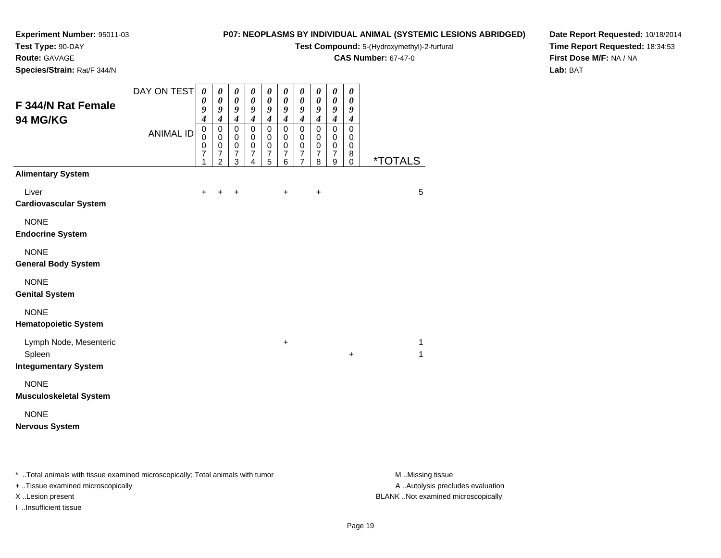**Test Type:** 90-DAY

**Route:** GAVAGE

**Species/Strain:** Rat/F 344/N

### **P07: NEOPLASMS BY INDIVIDUAL ANIMAL (SYSTEMIC LESIONS ABRIDGED)**

**Test Compound:** 5-(Hydroxymethyl)-2-furfural

**CAS Number:** 67-47-0

**Date Report Requested:** 10/18/2014**Time Report Requested:** 18:34:53**First Dose M/F:** NA / NA**Lab:** BAT

| F 344/N Rat Female<br>94 MG/KG               | DAY ON TEST<br><b>ANIMAL ID</b> | $\boldsymbol{\theta}$<br>0<br>9<br>$\overline{\boldsymbol{4}}$<br>$\mathbf 0$<br>$\mathsf 0$<br>0 | $\boldsymbol{\theta}$<br>$\pmb{\theta}$<br>9<br>$\overline{\boldsymbol{4}}$<br>$\pmb{0}$<br>$\mathbf 0$<br>$\mathbf 0$ | $\pmb{\theta}$<br>$\boldsymbol{\theta}$<br>9<br>$\boldsymbol{4}$<br>$\pmb{0}$<br>$\pmb{0}$<br>$\pmb{0}$ | $\boldsymbol{\theta}$<br>$\pmb{\theta}$<br>$\boldsymbol{g}$<br>$\boldsymbol{4}$<br>$\mathsf 0$<br>$\mathbf 0$<br>$\mathbf 0$ | 0<br>$\pmb{\theta}$<br>$\boldsymbol{g}$<br>$\boldsymbol{4}$<br>$\pmb{0}$<br>$\pmb{0}$<br>$\pmb{0}$ | $\boldsymbol{\theta}$<br>$\pmb{\theta}$<br>$\pmb{9}$<br>$\boldsymbol{4}$<br>$\pmb{0}$<br>$\mathbf 0$<br>$\mathbf 0$ | 0<br>$\pmb{\theta}$<br>$\boldsymbol{g}$<br>$\boldsymbol{4}$<br>$\mathbf 0$<br>0<br>$\pmb{0}$ | 0<br>$\pmb{\theta}$<br>9<br>$\boldsymbol{4}$<br>$\pmb{0}$<br>$\mathbf 0$<br>$\,0\,$ | $\boldsymbol{\theta}$<br>$\boldsymbol{\theta}$<br>$\boldsymbol{9}$<br>$\boldsymbol{4}$<br>$\pmb{0}$<br>$\mathbf 0$<br>$\pmb{0}$ | 0<br>$\pmb{\theta}$<br>9<br>$\boldsymbol{4}$<br>0<br>0<br>0 |                       |
|----------------------------------------------|---------------------------------|---------------------------------------------------------------------------------------------------|------------------------------------------------------------------------------------------------------------------------|---------------------------------------------------------------------------------------------------------|------------------------------------------------------------------------------------------------------------------------------|----------------------------------------------------------------------------------------------------|---------------------------------------------------------------------------------------------------------------------|----------------------------------------------------------------------------------------------|-------------------------------------------------------------------------------------|---------------------------------------------------------------------------------------------------------------------------------|-------------------------------------------------------------|-----------------------|
|                                              |                                 | $\overline{7}$<br>1                                                                               | $\overline{7}$<br>$\overline{2}$                                                                                       | $\overline{7}$<br>3                                                                                     | $\overline{7}$<br>4                                                                                                          | $\overline{7}$<br>5                                                                                | $\boldsymbol{7}$<br>6                                                                                               | $\overline{7}$<br>$\overline{7}$                                                             | $\boldsymbol{7}$<br>8                                                               | $\overline{7}$<br>$\boldsymbol{9}$                                                                                              | 8<br>0                                                      | <i><b>*TOTALS</b></i> |
| <b>Alimentary System</b>                     |                                 |                                                                                                   |                                                                                                                        |                                                                                                         |                                                                                                                              |                                                                                                    |                                                                                                                     |                                                                                              |                                                                                     |                                                                                                                                 |                                                             |                       |
| Liver<br><b>Cardiovascular System</b>        |                                 | $\pm$                                                                                             | $\ddot{}$                                                                                                              | $\ddot{}$                                                                                               |                                                                                                                              |                                                                                                    | $\ddot{}$                                                                                                           |                                                                                              | $\ddot{}$                                                                           |                                                                                                                                 |                                                             | 5                     |
| <b>NONE</b><br><b>Endocrine System</b>       |                                 |                                                                                                   |                                                                                                                        |                                                                                                         |                                                                                                                              |                                                                                                    |                                                                                                                     |                                                                                              |                                                                                     |                                                                                                                                 |                                                             |                       |
| <b>NONE</b><br><b>General Body System</b>    |                                 |                                                                                                   |                                                                                                                        |                                                                                                         |                                                                                                                              |                                                                                                    |                                                                                                                     |                                                                                              |                                                                                     |                                                                                                                                 |                                                             |                       |
| <b>NONE</b><br><b>Genital System</b>         |                                 |                                                                                                   |                                                                                                                        |                                                                                                         |                                                                                                                              |                                                                                                    |                                                                                                                     |                                                                                              |                                                                                     |                                                                                                                                 |                                                             |                       |
| <b>NONE</b><br><b>Hematopoietic System</b>   |                                 |                                                                                                   |                                                                                                                        |                                                                                                         |                                                                                                                              |                                                                                                    |                                                                                                                     |                                                                                              |                                                                                     |                                                                                                                                 |                                                             |                       |
| Lymph Node, Mesenteric<br>Spleen             |                                 |                                                                                                   |                                                                                                                        |                                                                                                         |                                                                                                                              |                                                                                                    | +                                                                                                                   |                                                                                              |                                                                                     |                                                                                                                                 | $\ddot{}$                                                   | 1<br>1                |
| <b>Integumentary System</b>                  |                                 |                                                                                                   |                                                                                                                        |                                                                                                         |                                                                                                                              |                                                                                                    |                                                                                                                     |                                                                                              |                                                                                     |                                                                                                                                 |                                                             |                       |
| <b>NONE</b><br><b>Musculoskeletal System</b> |                                 |                                                                                                   |                                                                                                                        |                                                                                                         |                                                                                                                              |                                                                                                    |                                                                                                                     |                                                                                              |                                                                                     |                                                                                                                                 |                                                             |                       |
| <b>NONE</b><br><b>Nervous System</b>         |                                 |                                                                                                   |                                                                                                                        |                                                                                                         |                                                                                                                              |                                                                                                    |                                                                                                                     |                                                                                              |                                                                                     |                                                                                                                                 |                                                             |                       |

\* ..Total animals with tissue examined microscopically; Total animals with tumor **M** . Missing tissue M ..Missing tissue

+ ..Tissue examined microscopically

I ..Insufficient tissue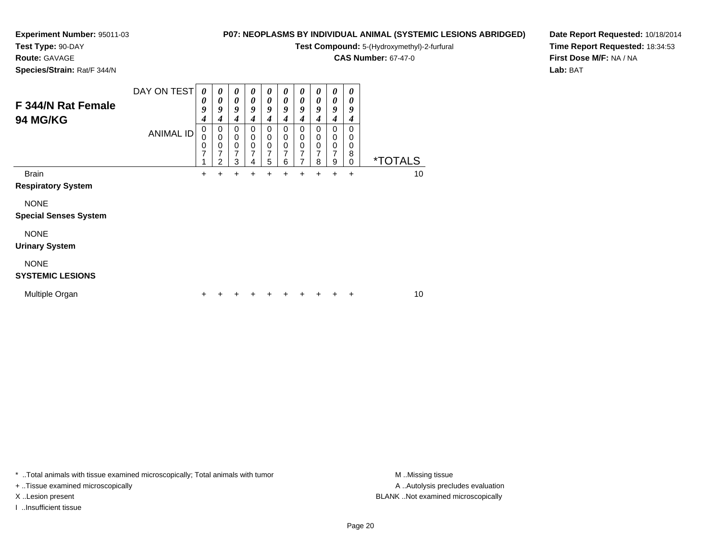**Test Type:** 90-DAY

**Route:** GAVAGE

**Species/Strain:** Rat/F 344/N

### **P07: NEOPLASMS BY INDIVIDUAL ANIMAL (SYSTEMIC LESIONS ABRIDGED)**

**Test Compound:** 5-(Hydroxymethyl)-2-furfural

**CAS Number:** 67-47-0

**Date Report Requested:** 10/18/2014**Time Report Requested:** 18:34:53**First Dose M/F:** NA / NA**Lab:** BAT

| F 344/N Rat Female<br><b>94 MG/KG</b>       | DAY ON TEST<br><b>ANIMAL ID</b> | 0<br>0<br>9<br>4<br>0<br>0<br>0<br>7 | 0<br>0<br>9<br>4<br>0<br>$\mathbf 0$<br>0<br>7<br>$\mathfrak{p}$ | 0<br>0<br>9<br>4<br>0<br>0<br>0<br>7<br>3 | $\boldsymbol{\theta}$<br>0<br>9<br>4<br>0<br>$\mathbf 0$<br>0<br>7<br>4 | 0<br>0<br>9<br>4<br>0<br>$\mathbf 0$<br>0<br>7<br>5 | $\boldsymbol{\theta}$<br>0<br>9<br>4<br>0<br>$\mathbf 0$<br>0<br>7<br>6 | 0<br>0<br>9<br>4<br>0<br>0<br>0<br>7 | 0<br>0<br>9<br>4<br>$\mathbf 0$<br>0<br>$\mathbf 0$<br>7<br>8 | 0<br>0<br>9<br>4<br>0<br>0<br>0<br>7<br>9 | 0<br>0<br>9<br>4<br>$\Omega$<br>0<br>0<br>8<br>0 | <i><b>*TOTALS</b></i> |
|---------------------------------------------|---------------------------------|--------------------------------------|------------------------------------------------------------------|-------------------------------------------|-------------------------------------------------------------------------|-----------------------------------------------------|-------------------------------------------------------------------------|--------------------------------------|---------------------------------------------------------------|-------------------------------------------|--------------------------------------------------|-----------------------|
| <b>Brain</b><br><b>Respiratory System</b>   |                                 | $\ddot{}$                            | ÷                                                                | $\div$                                    | ÷                                                                       | +                                                   | +                                                                       | +                                    | $\ddot{}$                                                     | ÷                                         | $\ddot{}$                                        | 10                    |
| <b>NONE</b><br><b>Special Senses System</b> |                                 |                                      |                                                                  |                                           |                                                                         |                                                     |                                                                         |                                      |                                                               |                                           |                                                  |                       |
| <b>NONE</b><br><b>Urinary System</b>        |                                 |                                      |                                                                  |                                           |                                                                         |                                                     |                                                                         |                                      |                                                               |                                           |                                                  |                       |
| <b>NONE</b><br><b>SYSTEMIC LESIONS</b>      |                                 |                                      |                                                                  |                                           |                                                                         |                                                     |                                                                         |                                      |                                                               |                                           |                                                  |                       |
| Multiple Organ                              |                                 | ٠                                    |                                                                  |                                           |                                                                         |                                                     |                                                                         |                                      |                                                               |                                           | +                                                | 10                    |

\* ..Total animals with tissue examined microscopically; Total animals with tumor **M** . Missing tissue M ..Missing tissue

+ ..Tissue examined microscopically

I ..Insufficient tissue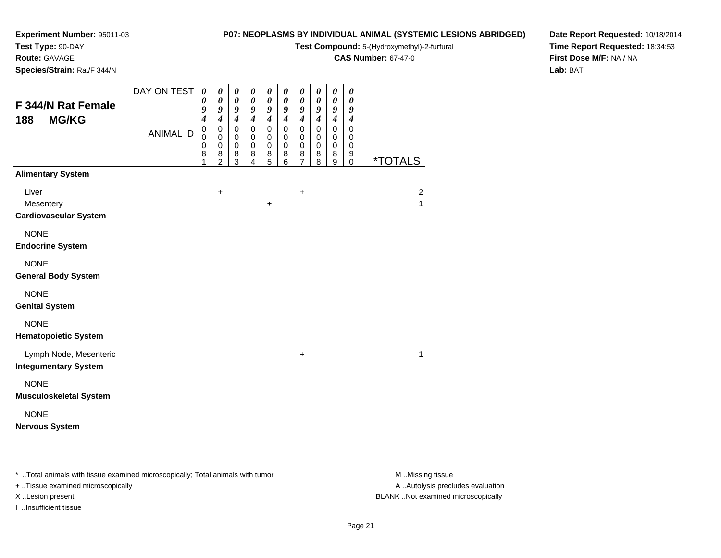**Test Type:** 90-DAY

**Route:** GAVAGE

**Species/Strain:** Rat/F 344/N

### **P07: NEOPLASMS BY INDIVIDUAL ANIMAL (SYSTEMIC LESIONS ABRIDGED)**

**Test Compound:** 5-(Hydroxymethyl)-2-furfural

**CAS Number:** 67-47-0

**Date Report Requested:** 10/18/2014**Time Report Requested:** 18:34:53**First Dose M/F:** NA / NA**Lab:** BAT

| F 344/N Rat Female<br>188<br><b>MG/KG</b>             | DAY ON TEST      | $\boldsymbol{\theta}$<br>$\boldsymbol{\theta}$<br>9<br>$\boldsymbol{4}$ | 0<br>0<br>9<br>$\boldsymbol{4}$                            | 0<br>$\pmb{\theta}$<br>9<br>$\boldsymbol{4}$           | $\boldsymbol{\theta}$<br>$\boldsymbol{\theta}$<br>$\boldsymbol{g}$<br>$\boldsymbol{4}$ | 0<br>$\boldsymbol{\theta}$<br>9<br>$\boldsymbol{4}$ | 0<br>0<br>9<br>$\boldsymbol{4}$           | $\boldsymbol{\theta}$<br>$\boldsymbol{\theta}$<br>9<br>$\boldsymbol{4}$ | 0<br>0<br>9<br>$\boldsymbol{4}$           | 0<br>$\pmb{\theta}$<br>9<br>$\boldsymbol{4}$ | 0<br>0<br>9<br>$\boldsymbol{4}$                   |                                |
|-------------------------------------------------------|------------------|-------------------------------------------------------------------------|------------------------------------------------------------|--------------------------------------------------------|----------------------------------------------------------------------------------------|-----------------------------------------------------|-------------------------------------------|-------------------------------------------------------------------------|-------------------------------------------|----------------------------------------------|---------------------------------------------------|--------------------------------|
|                                                       | <b>ANIMAL ID</b> | $\mathbf 0$<br>$\mathbf 0$<br>$\mathbf 0$<br>8<br>1                     | $\pmb{0}$<br>$\,0\,$<br>$\mathbf 0$<br>8<br>$\overline{2}$ | $\pmb{0}$<br>$\pmb{0}$<br>$\mathsf 0$<br>$\frac{8}{3}$ | $\mathbf 0$<br>0<br>$\pmb{0}$<br>8<br>4                                                | $\mathbf 0$<br>0<br>$\pmb{0}$<br>8<br>5             | $\mathbf 0$<br>0<br>$\mathbf 0$<br>8<br>6 | $\pmb{0}$<br>$\,0\,$<br>$\mathbf 0$<br>8<br>$\overline{7}$              | $\mathbf 0$<br>0<br>$\mathbf 0$<br>8<br>8 | 0<br>0<br>$\pmb{0}$<br>8<br>9                | $\pmb{0}$<br>0<br>$\mathbf 0$<br>9<br>$\mathbf 0$ | *TOTALS                        |
| <b>Alimentary System</b>                              |                  |                                                                         |                                                            |                                                        |                                                                                        |                                                     |                                           |                                                                         |                                           |                                              |                                                   |                                |
| Liver<br>Mesentery<br><b>Cardiovascular System</b>    |                  |                                                                         | $\ddot{}$                                                  |                                                        |                                                                                        | $\boldsymbol{+}$                                    |                                           | +                                                                       |                                           |                                              |                                                   | $\overline{2}$<br>$\mathbf{1}$ |
| <b>NONE</b><br><b>Endocrine System</b>                |                  |                                                                         |                                                            |                                                        |                                                                                        |                                                     |                                           |                                                                         |                                           |                                              |                                                   |                                |
| <b>NONE</b><br><b>General Body System</b>             |                  |                                                                         |                                                            |                                                        |                                                                                        |                                                     |                                           |                                                                         |                                           |                                              |                                                   |                                |
| <b>NONE</b><br><b>Genital System</b>                  |                  |                                                                         |                                                            |                                                        |                                                                                        |                                                     |                                           |                                                                         |                                           |                                              |                                                   |                                |
| <b>NONE</b><br><b>Hematopoietic System</b>            |                  |                                                                         |                                                            |                                                        |                                                                                        |                                                     |                                           |                                                                         |                                           |                                              |                                                   |                                |
| Lymph Node, Mesenteric<br><b>Integumentary System</b> |                  |                                                                         |                                                            |                                                        |                                                                                        |                                                     |                                           | +                                                                       |                                           |                                              |                                                   | 1                              |
| <b>NONE</b><br><b>Musculoskeletal System</b>          |                  |                                                                         |                                                            |                                                        |                                                                                        |                                                     |                                           |                                                                         |                                           |                                              |                                                   |                                |
| <b>NONE</b><br><b>Nervous System</b>                  |                  |                                                                         |                                                            |                                                        |                                                                                        |                                                     |                                           |                                                                         |                                           |                                              |                                                   |                                |

\* ..Total animals with tissue examined microscopically; Total animals with tumor **M** . Missing tissue M ..Missing tissue

+ ..Tissue examined microscopically

I ..Insufficient tissue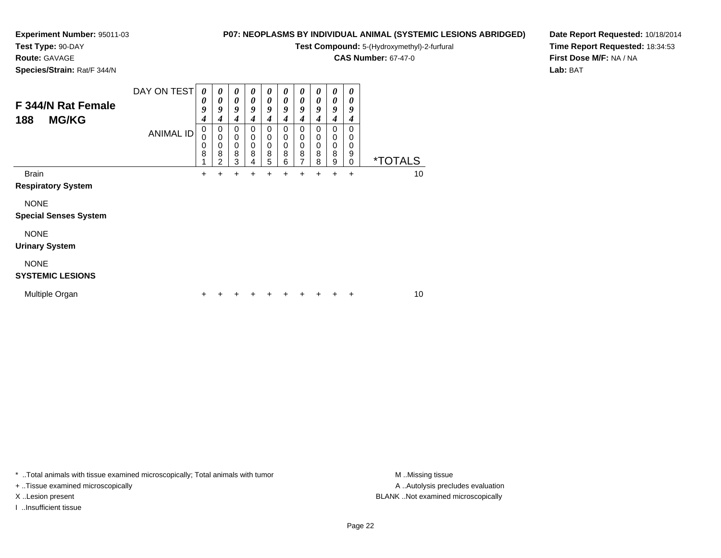# **Test Type:** 90-DAY

**Route:** GAVAGE

**Species/Strain:** Rat/F 344/N

### **P07: NEOPLASMS BY INDIVIDUAL ANIMAL (SYSTEMIC LESIONS ABRIDGED)**

**Test Compound:** 5-(Hydroxymethyl)-2-furfural

**CAS Number:** 67-47-0

**Date Report Requested:** 10/18/2014**Time Report Requested:** 18:34:53**First Dose M/F:** NA / NA**Lab:** BAT

| F 344/N Rat Female<br><b>MG/KG</b><br>188                | DAY ON TEST<br><b>ANIMAL ID</b> | 0<br>0<br>9<br>4<br>0<br>0<br>0<br>8 | $\boldsymbol{\theta}$<br>0<br>9<br>4<br>0<br>$\mathbf 0$<br>0<br>8<br>2 | $\boldsymbol{\theta}$<br>0<br>9<br>4<br>0<br>0<br>0<br>8<br>3 | $\boldsymbol{\theta}$<br>0<br>9<br>4<br>0<br>0<br>0<br>8<br>4 | 0<br>0<br>9<br>4<br>0<br>0<br>0<br>8<br>5 | 0<br>0<br>9<br>4<br>0<br>0<br>0<br>8<br>6 | 0<br>0<br>9<br>4<br>0<br>0<br>0<br>8<br>7 | 0<br>0<br>9<br>4<br>0<br>0<br>0<br>8<br>8 | 0<br>0<br>9<br>4<br>0<br>0<br>0<br>8<br>9 | 0<br>0<br>9<br>4<br>0<br>0<br>0<br>9<br>0 | <i><b>*TOTALS</b></i> |    |
|----------------------------------------------------------|---------------------------------|--------------------------------------|-------------------------------------------------------------------------|---------------------------------------------------------------|---------------------------------------------------------------|-------------------------------------------|-------------------------------------------|-------------------------------------------|-------------------------------------------|-------------------------------------------|-------------------------------------------|-----------------------|----|
| <b>Brain</b><br><b>Respiratory System</b><br><b>NONE</b> |                                 | +                                    | +                                                                       | +                                                             | +                                                             |                                           | +                                         |                                           | +                                         | +                                         | +                                         |                       | 10 |
| <b>Special Senses System</b>                             |                                 |                                      |                                                                         |                                                               |                                                               |                                           |                                           |                                           |                                           |                                           |                                           |                       |    |
| <b>NONE</b><br><b>Urinary System</b>                     |                                 |                                      |                                                                         |                                                               |                                                               |                                           |                                           |                                           |                                           |                                           |                                           |                       |    |
| <b>NONE</b><br><b>SYSTEMIC LESIONS</b>                   |                                 |                                      |                                                                         |                                                               |                                                               |                                           |                                           |                                           |                                           |                                           |                                           |                       |    |
| Multiple Organ                                           |                                 | ٠                                    |                                                                         |                                                               |                                                               |                                           | ٠                                         | ٠                                         |                                           | +                                         | ÷                                         |                       | 10 |

\* ..Total animals with tissue examined microscopically; Total animals with tumor **M** . Missing tissue M ..Missing tissue

+ ..Tissue examined microscopically

I ..Insufficient tissue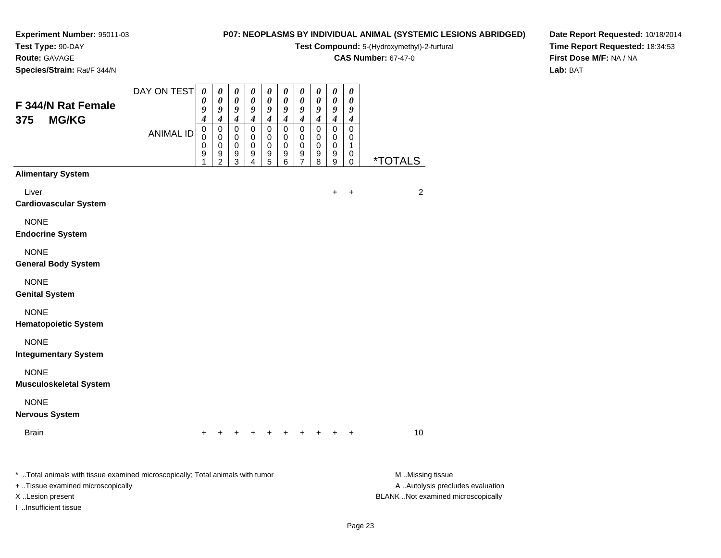## **Test Type:** 90-DAY

**Route:** GAVAGE

**Species/Strain:** Rat/F 344/N

## **P07: NEOPLASMS BY INDIVIDUAL ANIMAL (SYSTEMIC LESIONS ABRIDGED)**

**Test Compound:** 5-(Hydroxymethyl)-2-furfural

**CAS Number:** 67-47-0

**Date Report Requested:** 10/18/2014**Time Report Requested:** 18:34:53**First Dose M/F:** NA / NA**Lab:** BAT

| F 344/N Rat Female                                                                                                                                               | DAY ON TEST      | $\boldsymbol{\theta}$<br>0<br>9 | $\pmb{\theta}$<br>0<br>9                  | $\boldsymbol{\theta}$<br>0<br>9                               | 0<br>0<br>9                                         | 0<br>0<br>9                               | $\boldsymbol{\theta}$<br>0<br>9    | $\pmb{\theta}$<br>0<br>9                                                 | $\pmb{\theta}$<br>0<br>9                                      | $\pmb{\theta}$<br>0<br>$\pmb{9}$                                        | $\pmb{\theta}$<br>0<br>9                                              |                                                                                             |
|------------------------------------------------------------------------------------------------------------------------------------------------------------------|------------------|---------------------------------|-------------------------------------------|---------------------------------------------------------------|-----------------------------------------------------|-------------------------------------------|------------------------------------|--------------------------------------------------------------------------|---------------------------------------------------------------|-------------------------------------------------------------------------|-----------------------------------------------------------------------|---------------------------------------------------------------------------------------------|
| <b>MG/KG</b><br>375                                                                                                                                              | <b>ANIMAL ID</b> | 4<br>$\mathbf 0$<br>0<br>0<br>9 | 4<br>$\pmb{0}$<br>0<br>0<br>$\frac{9}{2}$ | $\boldsymbol{4}$<br>$\mathbf 0$<br>$\mathbf 0$<br>0<br>9<br>3 | $\boldsymbol{4}$<br>$\mathbf 0$<br>0<br>0<br>9<br>4 | $\boldsymbol{4}$<br>0<br>0<br>0<br>9<br>5 | 4<br>0<br>0<br>$\pmb{0}$<br>9<br>6 | $\boldsymbol{4}$<br>$\pmb{0}$<br>0<br>$\mathbf 0$<br>9<br>$\overline{7}$ | $\boldsymbol{4}$<br>$\mathbf 0$<br>0<br>$\mathbf 0$<br>9<br>8 | $\boldsymbol{4}$<br>$\mathbf 0$<br>$\mathbf 0$<br>$\mathbf 0$<br>9<br>9 | $\boldsymbol{4}$<br>$\pmb{0}$<br>0<br>$\mathbf 1$<br>0<br>$\mathbf 0$ | <i><b>*TOTALS</b></i>                                                                       |
| <b>Alimentary System</b>                                                                                                                                         |                  |                                 |                                           |                                                               |                                                     |                                           |                                    |                                                                          |                                                               |                                                                         |                                                                       |                                                                                             |
| Liver<br><b>Cardiovascular System</b>                                                                                                                            |                  |                                 |                                           |                                                               |                                                     |                                           |                                    |                                                                          |                                                               | +                                                                       | $\ddot{}$                                                             | $\overline{c}$                                                                              |
| <b>NONE</b><br><b>Endocrine System</b>                                                                                                                           |                  |                                 |                                           |                                                               |                                                     |                                           |                                    |                                                                          |                                                               |                                                                         |                                                                       |                                                                                             |
| <b>NONE</b><br><b>General Body System</b>                                                                                                                        |                  |                                 |                                           |                                                               |                                                     |                                           |                                    |                                                                          |                                                               |                                                                         |                                                                       |                                                                                             |
| <b>NONE</b><br><b>Genital System</b>                                                                                                                             |                  |                                 |                                           |                                                               |                                                     |                                           |                                    |                                                                          |                                                               |                                                                         |                                                                       |                                                                                             |
| <b>NONE</b><br><b>Hematopoietic System</b>                                                                                                                       |                  |                                 |                                           |                                                               |                                                     |                                           |                                    |                                                                          |                                                               |                                                                         |                                                                       |                                                                                             |
| <b>NONE</b><br><b>Integumentary System</b>                                                                                                                       |                  |                                 |                                           |                                                               |                                                     |                                           |                                    |                                                                          |                                                               |                                                                         |                                                                       |                                                                                             |
| <b>NONE</b><br><b>Musculoskeletal System</b>                                                                                                                     |                  |                                 |                                           |                                                               |                                                     |                                           |                                    |                                                                          |                                                               |                                                                         |                                                                       |                                                                                             |
| <b>NONE</b><br><b>Nervous System</b>                                                                                                                             |                  |                                 |                                           |                                                               |                                                     |                                           |                                    |                                                                          |                                                               |                                                                         |                                                                       |                                                                                             |
| <b>Brain</b>                                                                                                                                                     |                  |                                 |                                           |                                                               |                                                     |                                           |                                    |                                                                          |                                                               |                                                                         |                                                                       | 10                                                                                          |
| * Total animals with tissue examined microscopically; Total animals with tumor<br>+ Tissue examined microscopically<br>X Lesion present<br>I Insufficient tissue |                  |                                 |                                           |                                                               |                                                     |                                           |                                    |                                                                          |                                                               |                                                                         |                                                                       | M Missing tissue<br>A  Autolysis precludes evaluation<br>BLANK Not examined microscopically |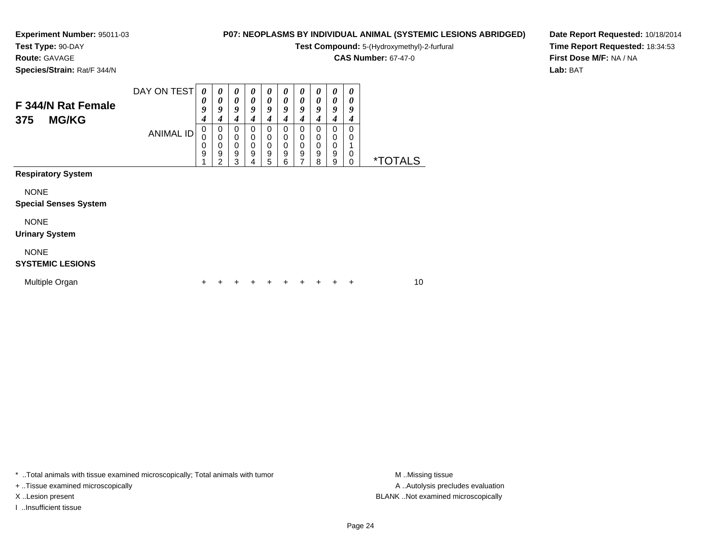**Test Type:** 90-DAY

## **Route:** GAVAGE

**Species/Strain:** Rat/F 344/N

## **P07: NEOPLASMS BY INDIVIDUAL ANIMAL (SYSTEMIC LESIONS ABRIDGED)**

**Test Compound:** 5-(Hydroxymethyl)-2-furfural

**CAS Number:** 67-47-0

**Date Report Requested:** 10/18/2014**Time Report Requested:** 18:34:53**First Dose M/F:** NA / NA**Lab:** BAT

| F 344/N Rat Female<br><b>MG/KG</b><br>375   | DAY ON TEST      | 0<br>0<br>9<br>4 | 0<br>0<br>9<br>4                   | $\boldsymbol{\theta}$<br>0<br>9<br>4 | 0<br>0<br>9<br>4                               | 0<br>0<br>9<br>4      | 0<br>0<br>9<br>4                | 0<br>0<br>9<br>4                   | 0<br>0<br>9<br>4                     | 0<br>0<br>9<br>4      | 0<br>0<br>9<br>4 |                       |    |
|---------------------------------------------|------------------|------------------|------------------------------------|--------------------------------------|------------------------------------------------|-----------------------|---------------------------------|------------------------------------|--------------------------------------|-----------------------|------------------|-----------------------|----|
|                                             | <b>ANIMAL ID</b> | 0<br>0<br>0<br>9 | 0<br>0<br>0<br>9<br>$\overline{2}$ | 0<br>0<br>$\mathbf 0$<br>9<br>3      | 0<br>0<br>$\mathbf 0$<br>$\boldsymbol{9}$<br>4 | 0<br>0<br>0<br>9<br>5 | 0<br>0<br>0<br>$\mathsf g$<br>6 | 0<br>0<br>0<br>9<br>$\overline{ }$ | 0<br>0<br>$\boldsymbol{0}$<br>9<br>8 | 0<br>0<br>0<br>9<br>9 | 0<br>0<br>0<br>0 | <i><b>*TOTALS</b></i> |    |
| <b>Respiratory System</b>                   |                  |                  |                                    |                                      |                                                |                       |                                 |                                    |                                      |                       |                  |                       |    |
| <b>NONE</b><br><b>Special Senses System</b> |                  |                  |                                    |                                      |                                                |                       |                                 |                                    |                                      |                       |                  |                       |    |
| <b>NONE</b><br><b>Urinary System</b>        |                  |                  |                                    |                                      |                                                |                       |                                 |                                    |                                      |                       |                  |                       |    |
| <b>NONE</b><br><b>SYSTEMIC LESIONS</b>      |                  |                  |                                    |                                      |                                                |                       |                                 |                                    |                                      |                       |                  |                       |    |
| Multiple Organ                              |                  | +                |                                    |                                      |                                                |                       |                                 |                                    |                                      |                       | ÷                |                       | 10 |

\* ..Total animals with tissue examined microscopically; Total animals with tumor **M** . Missing tissue M ..Missing tissue

+ ..Tissue examined microscopically

I ..Insufficient tissue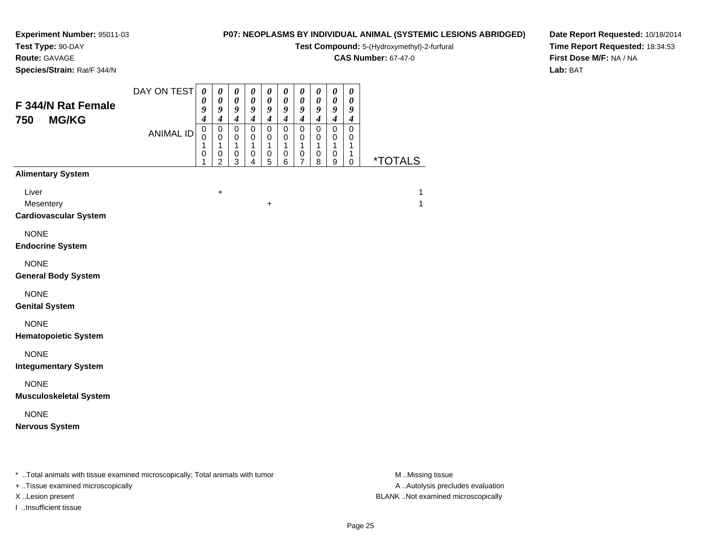**Test Type:** 90-DAY

## **Route:** GAVAGE

**Species/Strain:** Rat/F 344/N

### **P07: NEOPLASMS BY INDIVIDUAL ANIMAL (SYSTEMIC LESIONS ABRIDGED)**

**Test Compound:** 5-(Hydroxymethyl)-2-furfural

**CAS Number:** 67-47-0

**Date Report Requested:** 10/18/2014**Time Report Requested:** 18:34:53**First Dose M/F:** NA / NA**Lab:** BAT

| F 344/N Rat Female<br><b>MG/KG</b><br>750          | DAY ON TEST<br><b>ANIMAL ID</b> | $\pmb{\theta}$<br>0<br>9<br>$\boldsymbol{4}$<br>$\mathbf 0$<br>0<br>1<br>$\pmb{0}$<br>1 | $\boldsymbol{\theta}$<br>$\boldsymbol{\theta}$<br>9<br>$\boldsymbol{4}$<br>$\pmb{0}$<br>$\mathbf 0$<br>$\mathbf{1}$<br>$\pmb{0}$<br>$\overline{2}$ | $\pmb{\theta}$<br>$\boldsymbol{\theta}$<br>$\pmb{9}$<br>$\boldsymbol{4}$<br>$\mathbf 0$<br>0<br>$\mathbf{1}$<br>$\pmb{0}$<br>3 | $\pmb{\theta}$<br>$\pmb{\theta}$<br>9<br>$\boldsymbol{4}$<br>$\mathsf 0$<br>$\mathbf 0$<br>$\mathbf{1}$<br>0<br>4 | $\pmb{\theta}$<br>$\pmb{\theta}$<br>$\boldsymbol{g}$<br>$\boldsymbol{4}$<br>$\pmb{0}$<br>0<br>$\mathbf{1}$<br>$\pmb{0}$<br>5 | $\boldsymbol{\theta}$<br>$\boldsymbol{\theta}$<br>$\boldsymbol{g}$<br>$\boldsymbol{4}$<br>$\pmb{0}$<br>0<br>$\mathbf{1}$<br>0<br>6 | $\pmb{\theta}$<br>$\pmb{\theta}$<br>9<br>$\boldsymbol{4}$<br>$\mathsf 0$<br>0<br>$\mathbf{1}$<br>$\mathsf 0$<br>$\overline{7}$ | $\boldsymbol{\theta}$<br>$\boldsymbol{\theta}$<br>9<br>$\boldsymbol{4}$<br>$\pmb{0}$<br>$\mathbf 0$<br>$\mathbf{1}$<br>$\pmb{0}$<br>8 | $\pmb{\theta}$<br>$\pmb{\theta}$<br>9<br>$\boldsymbol{4}$<br>$\mathbf 0$<br>0<br>$\mathbf{1}$<br>$\pmb{0}$<br>$\boldsymbol{9}$ | 0<br>$\boldsymbol{\theta}$<br>$\boldsymbol{9}$<br>$\boldsymbol{4}$<br>$\mathsf 0$<br>0<br>$\mathbf{1}$<br>1<br>$\mathbf 0$ | <i><b>*TOTALS</b></i> |
|----------------------------------------------------|---------------------------------|-----------------------------------------------------------------------------------------|----------------------------------------------------------------------------------------------------------------------------------------------------|--------------------------------------------------------------------------------------------------------------------------------|-------------------------------------------------------------------------------------------------------------------|------------------------------------------------------------------------------------------------------------------------------|------------------------------------------------------------------------------------------------------------------------------------|--------------------------------------------------------------------------------------------------------------------------------|---------------------------------------------------------------------------------------------------------------------------------------|--------------------------------------------------------------------------------------------------------------------------------|----------------------------------------------------------------------------------------------------------------------------|-----------------------|
| <b>Alimentary System</b>                           |                                 |                                                                                         |                                                                                                                                                    |                                                                                                                                |                                                                                                                   |                                                                                                                              |                                                                                                                                    |                                                                                                                                |                                                                                                                                       |                                                                                                                                |                                                                                                                            |                       |
| Liver<br>Mesentery<br><b>Cardiovascular System</b> |                                 |                                                                                         | $\ddot{}$                                                                                                                                          |                                                                                                                                |                                                                                                                   | $\ddot{}$                                                                                                                    |                                                                                                                                    |                                                                                                                                |                                                                                                                                       |                                                                                                                                |                                                                                                                            | 1<br>1                |
| <b>NONE</b><br><b>Endocrine System</b>             |                                 |                                                                                         |                                                                                                                                                    |                                                                                                                                |                                                                                                                   |                                                                                                                              |                                                                                                                                    |                                                                                                                                |                                                                                                                                       |                                                                                                                                |                                                                                                                            |                       |
| <b>NONE</b><br><b>General Body System</b>          |                                 |                                                                                         |                                                                                                                                                    |                                                                                                                                |                                                                                                                   |                                                                                                                              |                                                                                                                                    |                                                                                                                                |                                                                                                                                       |                                                                                                                                |                                                                                                                            |                       |
| <b>NONE</b><br><b>Genital System</b>               |                                 |                                                                                         |                                                                                                                                                    |                                                                                                                                |                                                                                                                   |                                                                                                                              |                                                                                                                                    |                                                                                                                                |                                                                                                                                       |                                                                                                                                |                                                                                                                            |                       |
| <b>NONE</b><br><b>Hematopoietic System</b>         |                                 |                                                                                         |                                                                                                                                                    |                                                                                                                                |                                                                                                                   |                                                                                                                              |                                                                                                                                    |                                                                                                                                |                                                                                                                                       |                                                                                                                                |                                                                                                                            |                       |
| <b>NONE</b><br><b>Integumentary System</b>         |                                 |                                                                                         |                                                                                                                                                    |                                                                                                                                |                                                                                                                   |                                                                                                                              |                                                                                                                                    |                                                                                                                                |                                                                                                                                       |                                                                                                                                |                                                                                                                            |                       |
| <b>NONE</b><br><b>Musculoskeletal System</b>       |                                 |                                                                                         |                                                                                                                                                    |                                                                                                                                |                                                                                                                   |                                                                                                                              |                                                                                                                                    |                                                                                                                                |                                                                                                                                       |                                                                                                                                |                                                                                                                            |                       |
| <b>NONE</b><br><b>Nervous System</b>               |                                 |                                                                                         |                                                                                                                                                    |                                                                                                                                |                                                                                                                   |                                                                                                                              |                                                                                                                                    |                                                                                                                                |                                                                                                                                       |                                                                                                                                |                                                                                                                            |                       |

\* ..Total animals with tissue examined microscopically; Total animals with tumor **M** . Missing tissue M ..Missing tissue

+ ..Tissue examined microscopically

I ..Insufficient tissue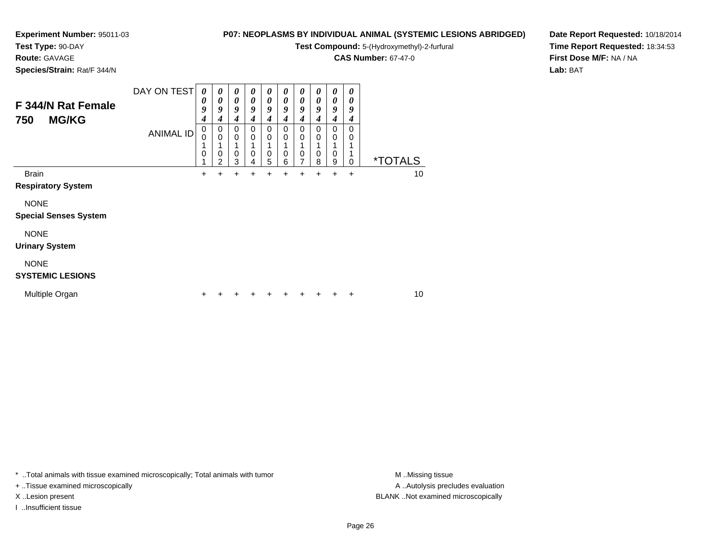# **Test Type:** 90-DAY

**Route:** GAVAGE

**Species/Strain:** Rat/F 344/N

### **P07: NEOPLASMS BY INDIVIDUAL ANIMAL (SYSTEMIC LESIONS ABRIDGED)**

**Test Compound:** 5-(Hydroxymethyl)-2-furfural

**CAS Number:** 67-47-0

**Date Report Requested:** 10/18/2014**Time Report Requested:** 18:34:53**First Dose M/F:** NA / NA**Lab:** BAT

| F 344/N Rat Female<br><b>MG/KG</b><br>750   | DAY ON TEST | 0<br>0<br>9<br>4<br>0 | 0<br>0<br>9<br>4<br>0              | 0<br>0<br>9<br>4<br>0 | $\boldsymbol{\theta}$<br>0<br>9<br>4<br>0 | 0<br>0<br>9<br>4<br>0 | 0<br>0<br>9<br>4<br>0 | 0<br>$\boldsymbol{\theta}$<br>9<br>4<br>0 | 0<br>0<br>9<br>4<br>0 | 0<br>$\boldsymbol{\theta}$<br>9<br>4<br>$\Omega$ | 0<br>0<br>9<br>4<br>0 |                       |    |
|---------------------------------------------|-------------|-----------------------|------------------------------------|-----------------------|-------------------------------------------|-----------------------|-----------------------|-------------------------------------------|-----------------------|--------------------------------------------------|-----------------------|-----------------------|----|
|                                             | ANIMAL ID   | $\Omega$<br>0         | 0<br>$\mathbf 0$<br>$\overline{2}$ | 0<br>0<br>3           | 0<br>0<br>4                               | 0<br>0<br>5           | 0<br>0<br>6           | $\mathbf 0$<br>0<br>7                     | 0<br>0<br>8           | 0<br>0<br>9                                      | 0<br>0                | <i><b>*TOTALS</b></i> |    |
| <b>Brain</b><br><b>Respiratory System</b>   |             | $\ddot{}$             | +                                  | +                     | +                                         |                       | +                     |                                           | +                     | $\ddot{}$                                        | $\ddot{}$             |                       | 10 |
| <b>NONE</b><br><b>Special Senses System</b> |             |                       |                                    |                       |                                           |                       |                       |                                           |                       |                                                  |                       |                       |    |
| <b>NONE</b><br><b>Urinary System</b>        |             |                       |                                    |                       |                                           |                       |                       |                                           |                       |                                                  |                       |                       |    |
| <b>NONE</b><br><b>SYSTEMIC LESIONS</b>      |             |                       |                                    |                       |                                           |                       |                       |                                           |                       |                                                  |                       |                       |    |
| Multiple Organ                              |             | ٠                     |                                    |                       | ٠                                         |                       |                       | ٠                                         | ٠                     | ÷                                                | ÷                     |                       | 10 |

\* ..Total animals with tissue examined microscopically; Total animals with tumor **M** . Missing tissue M ..Missing tissue

+ ..Tissue examined microscopically

I ..Insufficient tissue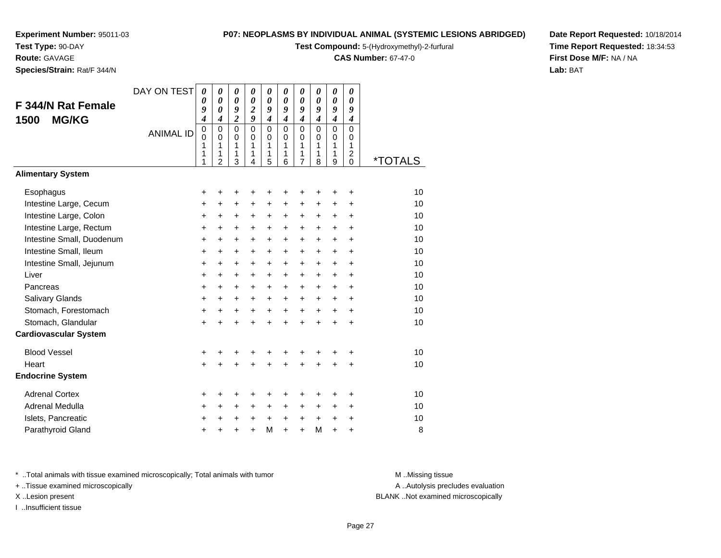**Test Type:** 90-DAY**Route:** GAVAGE

**Species/Strain:** Rat/F 344/N

#### **P07: NEOPLASMS BY INDIVIDUAL ANIMAL (SYSTEMIC LESIONS ABRIDGED)**

**Test Compound:** 5-(Hydroxymethyl)-2-furfural

**CAS Number:** 67-47-0

**Date Report Requested:** 10/18/2014**Time Report Requested:** 18:34:53**First Dose M/F:** NA / NA**Lab:** BAT

| F 344/N Rat Female<br><b>MG/KG</b><br>1500<br><b>Alimentary System</b> | DAY ON TEST<br><b>ANIMAL ID</b> | 0<br>0<br>9<br>$\boldsymbol{4}$<br>0<br>0<br>1<br>1<br>1 | $\boldsymbol{\theta}$<br>$\boldsymbol{\theta}$<br>$\boldsymbol{\theta}$<br>$\boldsymbol{4}$<br>$\Omega$<br>$\Omega$<br>1<br>1<br>$\overline{2}$ | 0<br>$\boldsymbol{\theta}$<br>9<br>$\overline{2}$<br>$\Omega$<br>0<br>1<br>1<br>3 | 0<br>$\boldsymbol{\theta}$<br>$\boldsymbol{2}$<br>$\boldsymbol{g}$<br>$\mathbf 0$<br>$\Omega$<br>1<br>1<br>4 | 0<br>$\theta$<br>9<br>$\boldsymbol{4}$<br>$\Omega$<br>0<br>1<br>1<br>5 | 0<br>$\boldsymbol{\theta}$<br>9<br>$\boldsymbol{4}$<br>$\Omega$<br>$\Omega$<br>1<br>1<br>6 | 0<br>$\boldsymbol{\theta}$<br>9<br>$\boldsymbol{4}$<br>$\Omega$<br>0<br>1<br>$\mathbf{1}$<br>$\overline{7}$ | $\boldsymbol{\theta}$<br>$\boldsymbol{\theta}$<br>9<br>$\boldsymbol{4}$<br>$\Omega$<br>$\Omega$<br>$\mathbf{1}$<br>$\mathbf{1}$<br>8 | 0<br>$\boldsymbol{\theta}$<br>9<br>$\boldsymbol{4}$<br>$\mathbf 0$<br>$\mathbf 0$<br>$\mathbf{1}$<br>1<br>9 | 0<br>0<br>9<br>4<br>$\Omega$<br>0<br>$\mathbf{1}$<br>$\overline{c}$<br>0 | <i><b>*TOTALS</b></i> |
|------------------------------------------------------------------------|---------------------------------|----------------------------------------------------------|-------------------------------------------------------------------------------------------------------------------------------------------------|-----------------------------------------------------------------------------------|--------------------------------------------------------------------------------------------------------------|------------------------------------------------------------------------|--------------------------------------------------------------------------------------------|-------------------------------------------------------------------------------------------------------------|--------------------------------------------------------------------------------------------------------------------------------------|-------------------------------------------------------------------------------------------------------------|--------------------------------------------------------------------------|-----------------------|
|                                                                        |                                 |                                                          |                                                                                                                                                 |                                                                                   |                                                                                                              |                                                                        |                                                                                            |                                                                                                             |                                                                                                                                      |                                                                                                             |                                                                          |                       |
| Esophagus                                                              |                                 | +                                                        | +                                                                                                                                               | +                                                                                 | ٠                                                                                                            | +                                                                      | +                                                                                          | +                                                                                                           | ÷                                                                                                                                    | +                                                                                                           | +                                                                        | 10                    |
| Intestine Large, Cecum                                                 |                                 | +                                                        | +                                                                                                                                               | $\ddot{}$                                                                         | $\ddot{}$                                                                                                    | +                                                                      | +                                                                                          | +                                                                                                           | +                                                                                                                                    | +                                                                                                           | $\ddot{}$                                                                | 10                    |
| Intestine Large, Colon                                                 |                                 | +                                                        | +                                                                                                                                               | $\ddot{}$                                                                         | $\ddot{}$                                                                                                    | $+$                                                                    | $+$                                                                                        | $\ddot{}$                                                                                                   | $\ddot{}$                                                                                                                            | $\ddot{}$                                                                                                   | $\ddot{}$                                                                | 10                    |
| Intestine Large, Rectum                                                |                                 | +                                                        | +                                                                                                                                               | $\ddot{}$                                                                         | $\ddot{}$                                                                                                    | +                                                                      | +                                                                                          | +                                                                                                           | +                                                                                                                                    | $\ddot{}$                                                                                                   | $\ddot{}$                                                                | 10                    |
| Intestine Small, Duodenum                                              |                                 | $\ddot{}$                                                | $\ddot{}$                                                                                                                                       | $\ddot{}$                                                                         | $\ddot{}$                                                                                                    | $\ddot{}$                                                              | $\ddot{}$                                                                                  | $\ddot{}$                                                                                                   | $\ddot{}$                                                                                                                            | $\ddot{}$                                                                                                   | $\ddot{}$                                                                | 10                    |
| Intestine Small, Ileum                                                 |                                 | $\ddot{}$                                                | $\ddot{}$                                                                                                                                       | $\ddot{}$                                                                         | $\ddot{}$                                                                                                    | $\ddot{}$                                                              | +                                                                                          | $\ddot{}$                                                                                                   | $\ddot{}$                                                                                                                            | $\ddot{}$                                                                                                   | $\ddot{}$                                                                | 10                    |
| Intestine Small, Jejunum                                               |                                 | $\ddot{}$                                                | $\ddot{}$                                                                                                                                       | $\ddot{}$                                                                         | $\ddot{}$                                                                                                    | $\ddot{}$                                                              | +                                                                                          | +                                                                                                           | $\ddot{}$                                                                                                                            | $\ddot{}$                                                                                                   | $\ddot{}$                                                                | 10                    |
| Liver                                                                  |                                 | $\ddot{}$                                                | $\ddot{}$                                                                                                                                       | $\ddot{}$                                                                         | $\ddot{}$                                                                                                    | +                                                                      | +                                                                                          | $\ddot{}$                                                                                                   | $\ddot{}$                                                                                                                            | $\ddot{}$                                                                                                   | $\ddot{}$                                                                | 10                    |
| Pancreas                                                               |                                 | $\ddot{}$                                                | $\ddot{}$                                                                                                                                       | $\ddot{}$                                                                         | $\ddot{}$                                                                                                    | $\ddot{}$                                                              | $\ddot{}$                                                                                  | $\ddot{}$                                                                                                   | $\ddot{}$                                                                                                                            | $\ddot{}$                                                                                                   | $\ddot{}$                                                                | 10                    |
| Salivary Glands                                                        |                                 | $\ddot{}$                                                | $\ddot{}$                                                                                                                                       | $\ddot{}$                                                                         | $\ddot{}$                                                                                                    | $\ddot{}$                                                              | $\ddot{}$                                                                                  | $\ddot{}$                                                                                                   | $\ddot{}$                                                                                                                            | $+$                                                                                                         | $\ddot{}$                                                                | 10                    |
| Stomach, Forestomach                                                   |                                 | +                                                        | +                                                                                                                                               | $\ddot{}$                                                                         | $+$                                                                                                          | $\ddot{}$                                                              | $+$                                                                                        | $+$                                                                                                         | $+$                                                                                                                                  | $\ddot{}$                                                                                                   | $+$                                                                      | 10                    |
| Stomach, Glandular                                                     |                                 | $\ddot{}$                                                | $\ddot{}$                                                                                                                                       | $\ddot{}$                                                                         | $\ddot{}$                                                                                                    | $\ddot{}$                                                              | $\ddot{}$                                                                                  | $\ddot{}$                                                                                                   | $\ddot{}$                                                                                                                            | $\ddot{}$                                                                                                   | $\ddot{}$                                                                | 10                    |
| <b>Cardiovascular System</b>                                           |                                 |                                                          |                                                                                                                                                 |                                                                                   |                                                                                                              |                                                                        |                                                                                            |                                                                                                             |                                                                                                                                      |                                                                                                             |                                                                          |                       |
| <b>Blood Vessel</b>                                                    |                                 | +                                                        | +                                                                                                                                               |                                                                                   |                                                                                                              | +                                                                      | +                                                                                          | +                                                                                                           |                                                                                                                                      | +                                                                                                           | +                                                                        | 10                    |
| Heart                                                                  |                                 | $\ddot{}$                                                | $\ddot{}$                                                                                                                                       | $\ddot{}$                                                                         | $\ddot{}$                                                                                                    | $\ddot{}$                                                              | ÷                                                                                          | $\ddot{}$                                                                                                   | $\ddot{}$                                                                                                                            | $\ddot{}$                                                                                                   | $\div$                                                                   | 10                    |
| <b>Endocrine System</b>                                                |                                 |                                                          |                                                                                                                                                 |                                                                                   |                                                                                                              |                                                                        |                                                                                            |                                                                                                             |                                                                                                                                      |                                                                                                             |                                                                          |                       |
| <b>Adrenal Cortex</b>                                                  |                                 | +                                                        | +                                                                                                                                               | +                                                                                 | +                                                                                                            | +                                                                      | +                                                                                          | +                                                                                                           | +                                                                                                                                    | +                                                                                                           | +                                                                        | 10                    |
| Adrenal Medulla                                                        |                                 | $\ddot{}$                                                | $\ddot{}$                                                                                                                                       | $\ddot{}$                                                                         | $\ddot{}$                                                                                                    | $\ddot{}$                                                              | $\ddot{}$                                                                                  | $\ddot{}$                                                                                                   | $\ddot{}$                                                                                                                            | $\ddot{}$                                                                                                   | $\ddot{}$                                                                | 10                    |
| Islets, Pancreatic                                                     |                                 | +                                                        | +                                                                                                                                               | +                                                                                 | +                                                                                                            | $\ddot{}$                                                              | $\ddot{}$                                                                                  | $\ddot{}$                                                                                                   | +                                                                                                                                    | +                                                                                                           | +                                                                        | 10                    |
| Parathyroid Gland                                                      |                                 | +                                                        |                                                                                                                                                 |                                                                                   | ÷                                                                                                            | M                                                                      | $\ddot{}$                                                                                  | $\ddot{}$                                                                                                   | M                                                                                                                                    | $\ddot{}$                                                                                                   | $\ddot{}$                                                                | 8                     |

\* ..Total animals with tissue examined microscopically; Total animals with tumor **M** . Missing tissue M ..Missing tissue

+ ..Tissue examined microscopically

I ..Insufficient tissue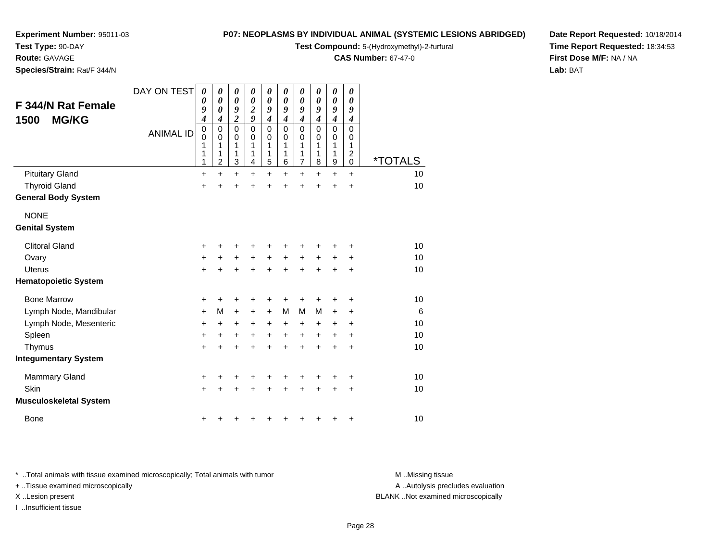**Test Type:** 90-DAY

**Route:** GAVAGE

**Species/Strain:** Rat/F 344/N

#### **P07: NEOPLASMS BY INDIVIDUAL ANIMAL (SYSTEMIC LESIONS ABRIDGED)**

**Test Compound:** 5-(Hydroxymethyl)-2-furfural

**CAS Number:** 67-47-0

**Date Report Requested:** 10/18/2014**Time Report Requested:** 18:34:53**First Dose M/F:** NA / NA**Lab:** BAT

| F 344/N Rat Female<br><b>MG/KG</b><br>1500 | DAY ON TEST<br><b>ANIMAL ID</b> | $\boldsymbol{\theta}$<br>0<br>9<br>4<br>$\mathbf 0$<br>$\mathbf 0$<br>1<br>1<br>1 | 0<br>$\boldsymbol{\theta}$<br>$\boldsymbol{\theta}$<br>4<br>$\mathbf 0$<br>0<br>1<br>1<br>2 | $\boldsymbol{\theta}$<br>$\boldsymbol{\theta}$<br>9<br>$\overline{c}$<br>$\mathbf 0$<br>0<br>1<br>1<br>3 | 0<br>0<br>$\boldsymbol{2}$<br>9<br>$\mathbf 0$<br>0<br>1<br>1<br>4 | 0<br>0<br>9<br>$\boldsymbol{4}$<br>$\pmb{0}$<br>0<br>1<br>1<br>5 | 0<br>0<br>9<br>4<br>$\mathbf 0$<br>$\Omega$<br>1<br>1<br>6 | 0<br>0<br>9<br>$\boldsymbol{4}$<br>$\mathbf 0$<br>0<br>1<br>1<br>$\overline{7}$ | 0<br>0<br>9<br>$\boldsymbol{4}$<br>$\mathbf 0$<br>$\Omega$<br>1<br>1<br>8 | 0<br>$\boldsymbol{\theta}$<br>9<br>$\boldsymbol{4}$<br>$\mathbf 0$<br>0<br>1<br>1<br>$\boldsymbol{9}$ | 0<br>0<br>9<br>$\boldsymbol{4}$<br>$\mathbf 0$<br>0<br>1<br>$\boldsymbol{2}$<br>0 | <i><b>*TOTALS</b></i> |
|--------------------------------------------|---------------------------------|-----------------------------------------------------------------------------------|---------------------------------------------------------------------------------------------|----------------------------------------------------------------------------------------------------------|--------------------------------------------------------------------|------------------------------------------------------------------|------------------------------------------------------------|---------------------------------------------------------------------------------|---------------------------------------------------------------------------|-------------------------------------------------------------------------------------------------------|-----------------------------------------------------------------------------------|-----------------------|
| <b>Pituitary Gland</b>                     |                                 | $\ddot{}$                                                                         | $+$                                                                                         | $\ddot{}$                                                                                                | $\ddot{}$                                                          | $\ddot{}$                                                        | $\ddot{}$                                                  | $\ddot{}$                                                                       | $\ddot{}$                                                                 | $\ddot{}$                                                                                             | $+$                                                                               | 10                    |
| <b>Thyroid Gland</b>                       |                                 | $\ddot{}$                                                                         | +                                                                                           | $\ddot{}$                                                                                                | $\ddot{}$                                                          | $\ddot{}$                                                        | $\ddot{}$                                                  | $\ddot{}$                                                                       | $\ddot{}$                                                                 | +                                                                                                     | $\ddot{}$                                                                         | 10                    |
| <b>General Body System</b>                 |                                 |                                                                                   |                                                                                             |                                                                                                          |                                                                    |                                                                  |                                                            |                                                                                 |                                                                           |                                                                                                       |                                                                                   |                       |
| <b>NONE</b><br><b>Genital System</b>       |                                 |                                                                                   |                                                                                             |                                                                                                          |                                                                    |                                                                  |                                                            |                                                                                 |                                                                           |                                                                                                       |                                                                                   |                       |
| <b>Clitoral Gland</b>                      |                                 | +                                                                                 | ٠                                                                                           | +                                                                                                        | +                                                                  | +                                                                | +                                                          | +                                                                               | +                                                                         | +                                                                                                     | ٠                                                                                 | 10                    |
| Ovary                                      |                                 | $\ddot{}$                                                                         | $\ddot{}$                                                                                   | $\ddot{}$                                                                                                | $+$                                                                | $\ddot{}$                                                        | $+$                                                        | $\ddot{}$                                                                       | $\ddot{}$                                                                 | $\ddot{}$                                                                                             | $\ddot{}$                                                                         | 10                    |
| <b>Uterus</b>                              |                                 | +                                                                                 |                                                                                             | $\ddot{}$                                                                                                | $\ddot{}$                                                          | $\ddot{}$                                                        | $\ddot{}$                                                  | +                                                                               | $\ddot{}$                                                                 | $\ddot{}$                                                                                             | $\ddot{}$                                                                         | 10                    |
| <b>Hematopoietic System</b>                |                                 |                                                                                   |                                                                                             |                                                                                                          |                                                                    |                                                                  |                                                            |                                                                                 |                                                                           |                                                                                                       |                                                                                   |                       |
| <b>Bone Marrow</b>                         |                                 | +                                                                                 |                                                                                             | +                                                                                                        | +                                                                  | +                                                                | +                                                          | +                                                                               | +                                                                         | +                                                                                                     | +                                                                                 | 10                    |
| Lymph Node, Mandibular                     |                                 | $\ddot{}$                                                                         | M                                                                                           | $\ddot{}$                                                                                                | +                                                                  | $\ddot{}$                                                        | M                                                          | M                                                                               | M                                                                         | +                                                                                                     | +                                                                                 | 6                     |
| Lymph Node, Mesenteric                     |                                 | $\ddot{}$                                                                         | +                                                                                           | +                                                                                                        | $\ddot{}$                                                          | $\ddot{}$                                                        | +                                                          | +                                                                               | $\ddot{}$                                                                 | +                                                                                                     | $\ddot{}$                                                                         | 10                    |
| Spleen                                     |                                 | $\ddot{}$                                                                         | $\ddot{}$                                                                                   | $\ddot{}$                                                                                                | +                                                                  | $\ddot{}$                                                        | $\ddot{}$                                                  | +                                                                               | $\ddot{}$                                                                 | $\pm$                                                                                                 | $\ddot{}$                                                                         | 10                    |
| Thymus                                     |                                 | $\ddot{}$                                                                         | $\ddot{}$                                                                                   | $\ddot{}$                                                                                                | $\ddot{}$                                                          | $\ddot{}$                                                        | $\ddot{}$                                                  | $\ddot{}$                                                                       | $\ddot{}$                                                                 | $\ddot{}$                                                                                             | $\ddot{}$                                                                         | 10                    |
| <b>Integumentary System</b>                |                                 |                                                                                   |                                                                                             |                                                                                                          |                                                                    |                                                                  |                                                            |                                                                                 |                                                                           |                                                                                                       |                                                                                   |                       |
| <b>Mammary Gland</b>                       |                                 | +                                                                                 |                                                                                             |                                                                                                          |                                                                    | +                                                                | +                                                          | +                                                                               |                                                                           | +                                                                                                     | +                                                                                 | 10                    |
| Skin                                       |                                 | $\ddot{}$                                                                         |                                                                                             | +                                                                                                        |                                                                    | $\ddot{}$                                                        | $\ddot{}$                                                  | $\ddot{}$                                                                       | $\ddot{}$                                                                 | $\pm$                                                                                                 | $\ddot{}$                                                                         | 10                    |
| <b>Musculoskeletal System</b>              |                                 |                                                                                   |                                                                                             |                                                                                                          |                                                                    |                                                                  |                                                            |                                                                                 |                                                                           |                                                                                                       |                                                                                   |                       |
| <b>Bone</b>                                |                                 | +                                                                                 |                                                                                             |                                                                                                          |                                                                    | ٠                                                                | +                                                          | +                                                                               | +                                                                         | +                                                                                                     | $\ddot{}$                                                                         | 10                    |

\* ..Total animals with tissue examined microscopically; Total animals with tumor **M** . Missing tissue M ..Missing tissue

+ ..Tissue examined microscopically

I ..Insufficient tissue